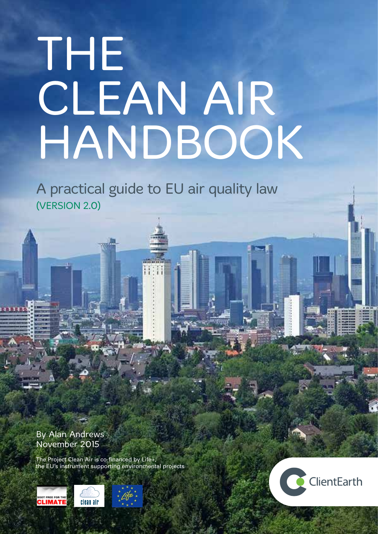# THE CLEAN AIR HANDBOOK

A practical guide to EU air quality law (VERSION 2.0)

By Alan Andrews November 2015

The Project Clean Air is co-financed by Life+, the EU's instrument supporting environmental projects



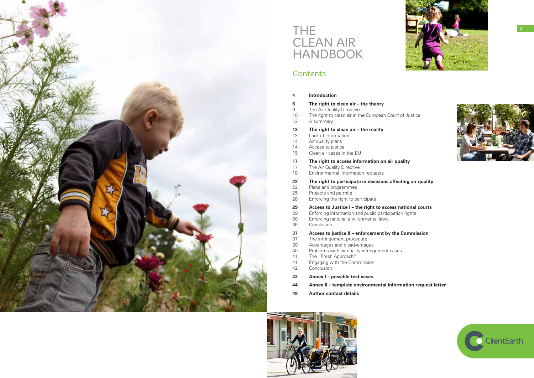

# THE CLEAN AIR HANDBOOK

### **Contents**

**22 The right to participate in decisions affecting air quality**

ational courts

i rights

**3** Commission



| 4                                      | <b>Introduction</b>                                                                                                                                                                                                               |  |  |
|----------------------------------------|-----------------------------------------------------------------------------------------------------------------------------------------------------------------------------------------------------------------------------------|--|--|
| 6<br>6<br>10<br>12                     | The right to clean air - the theory<br>The Air Quality Directive<br>The right to clean air in the European Court of Ju<br>A summary                                                                                               |  |  |
| 13<br>13<br>14<br>14<br>15             | The right to clean air - the reality<br>Lack of information<br>Air quality plans<br>Access to justice<br>Clean air cases in the EU                                                                                                |  |  |
| 17<br>17<br>18                         | The right to access information on air quality<br>The Air Quality Directive<br>Environmental information requests                                                                                                                 |  |  |
| 22<br>22<br>25<br>28                   | The right to participate in decisions affecting<br>Plans and programmes<br>Projects and permits<br>Enforcing the right to participate                                                                                             |  |  |
| 29<br>29<br>30<br>36                   | Access to Justice I - the right to access natio<br>Enforcing information and public participation rig<br>Enforcing national environmental laws<br>Conclusion                                                                      |  |  |
| 37<br>37<br>39<br>40<br>41<br>41<br>42 | Access to justice II – enforcement by the Com<br>The infringement procedure<br>Advantages and disadvantages<br>Problems with air quality infringement cases<br>The "Fresh Approach"<br>Engaging with the Commission<br>Conclusion |  |  |
|                                        |                                                                                                                                                                                                                                   |  |  |

- **43 Annex I possible test cases**
- **44 Annex II template environmental information request letter**
- **48 Author contact details**





f Justice

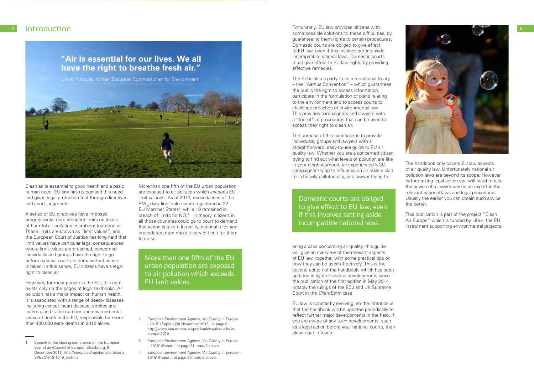Clean air is essential to good health and a basic human need. EU law has recognised this need and given legal protection to it through directives and court judgments.

A series of EU directives have imposed progressively more stringent limits on levels of harmful air pollution in ambient (outdoor) air. These limits are known as "limit values", and the European Court of Justice has long held that limit values have particular legal consequences: where limit values are breached, concerned individuals and groups have the right to go before national courts to demand that action is taken. In this sense, EU citizens have a legal right to clean air.

However, for most people in the EU, this right exists only on the pages of legal textbooks. Air pollution has a major impact on human health. It is associated with a range of deadly diseases including cancer, heart disease, strokes and asthma, and is the number one environmental cause of death in the EU, responsible for more than 430,000 early deaths in 2012 alone.



More than one fifth of the EU urban population are exposed to air pollution which exceeds EU limit values<sup>2</sup>. As of 2013, exceedances of the PM<sub>10</sub> daily limit value were registered in 22 EU Member States<sup>3</sup>, while 19 remained in breach of limits for  $NO<sub>2</sub><sup>4</sup>$ . In theory, citizens in all those countries could go to court to demand that action is taken. In reality, national rules and procedures often make it very difficult for them to do so.

The EU is also a party to an international treaty – the "Aarhus Convention" – which guarantees the public the right to access information, participate in the formulation of plans relating to the environment and to access courts to challenge breaches of environmental law. This provides campaigners and lawyers with a "toolkit" of procedures that can be used to access their right to clean air.

- 3 European Environment Agency, 'Air Quality in Europe – 2015' (Report), at page 21, note 2 above.
- 4 European Environment Agency, 'Air Quality in Europe 2015' (Report), at page 30, note 2 above.

## **"Air is essential for our lives. We all have the right to breathe fresh air."**

Janez Potočnik, former European Commissioner for Environment<sup>1</sup>



More than one fifth of the EU urban population are exposed to air pollution which exceeds EU limit values.

some possible solutions to these difficulties, by guaranteeing them rights to certain procedures. Domestic courts are obliged to give effect to EU law, even if this involves setting aside incompatible national laws. Domestic courts must give effect to EU law rights by providing effective remedies.

The purpose of this handbook is to provide individuals, groups and lawyers with a straightforward, easy-to-use guide to EU air quality law. Whether you are a concerned citizen trying to find out what levels of pollution are like in your neighbourhood, an experienced NGO campaigner trying to influence an air quality plan for a heavily polluted city, or a lawyer trying to

bring a case concerning air quality, this guide will give an overview of the relevant aspects of EU law, together with some practical tips on how they can be used effectively. This is the second edition of the handbook, which has been updated in light of several developments since the publication of the first edition in May 2014, notably the rulings of the ECJ and UK Supreme Court in the *ClientEarth* case.

EU law is constantly evolving, so the intention is that the handbook will be updated periodically to reflect further major developments in the field. If you are aware of any such developments, such as a legal action before your national courts, then please get in touch.

The handbook only covers EU law aspects of air quality law. Unfortunately national air pollution laws are beyond its scope. However, before taking legal action you will need to take the advice of a lawyer who is an expert in the relevant national laws and legal procedures. Usually the earlier you can obtain such advice the better.

This publication is part of the project "Clean Air Europe" which is funded by Life+, the EU instrument supporting environmental projects.

Domestic courts are obliged to give effect to EU law, even if this involves setting aside incompatible national laws.

Speech to the closing conference on the European year of air (Council of Europe), Strasbourg, 9 December 2013: http://europa.eu/rapid/press-release\_ SPEECH-13-1049\_en.htm

<sup>2</sup> European Environment Agency, 'Air Quality in Europe - 2015' (Report) (30 November 2015), at page 8: http://www.eea.europa.eu/publications/air-quality-ineurope-2015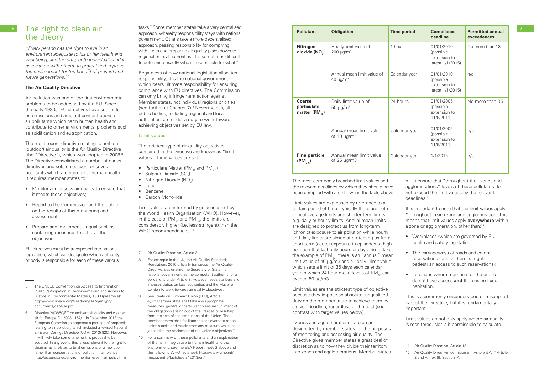### 6 The right to clean air the theory

*"Every person has the right to live in an environment adequate to his or her health and well-being, and the duty, both individually and in association with others, to protect and improve the environment for the benefit of present and future generations."*<sup>5</sup>

### **The Air Quality Directive**

Air pollution was one of the first environmental problems to be addressed by the EU. Since the early 1980s, EU directives have set limits on emissions and ambient concentrations of air pollutants which harm human health and contribute to other environmental problems such as acidification and eutrophication.

The most recent directive relating to ambient (outdoor) air quality is the Air Quality Directive (the "Directive"), which was adopted in 2008.6 The Directive consolidated a number of earlier directives and sets objectives for several pollutants which are harmful to human health. It requires member states to:

tasks.7 Some member states take a very centralised approach, whereby responsibility stays with national government. Others take a more decentralised approach, passing responsibility for complying with limits and preparing air quality plans down to regional or local authorities. It is sometimes difficult to determine exactly who is responsible for what.<sup>8</sup>

- Monitor and assess air quality to ensure that it meets these objectives;
- Report to the Commission and the public on the results of this monitoring and assessment;
- Prepare and implement air quality plans containing measures to achieve the objectives.

EU directives must be transposed into national legislation, which will designate which authority or body is responsible for each of these various

- Particulate Matter (PM<sub>10</sub> and PM<sub>2.5</sub>)
- Sulphur Dioxide  $(SO_2)$
- Nitrogen Dioxide ( $NO<sub>2</sub>$ )
- Lead
- Benzene
- Carbon Monoxide

Limit values are informed by guidelines set by the World Health Organisation (WHO). However, in the case of  $PM_{10}$  and  $PM_{25}$ , the limits are considerably higher (i.e. less stringent) than the WHO recommendations<sup>10</sup>

7 Air Quality Directive, Article 3.

- 5 The UNECE Convention on Access to Information, Public Participation in Decision-making and Access to Justice in Environmental Matters, 1998 (preamble): http://www.unece.org/fileadmin/DAM/env/pp/ documents/cep43e.pdf
- 6 Directive 2008/50/EC on ambient air quality and cleaner air for Europe OJ 2008 L152/1. In December 2013 the European Commission proposed a package of proposals relating to air pollution, which included a revised National Emission Ceilings Directive (COM (2013) 920). However, it will likely take some time for this proposal to be adopted. In any event, this is less relevant to the right to clean air as it relates to total emissions of air pollution, rather than concentrations of pollution in ambient air: http://ec.europa.eu/environment/air/clean\_air\_policy.htm

Regardless of how national legislation allocates responsibility, it is the national government which bears ultimate responsibility for ensuring compliance with EU directives. The Commission can only bring infringement action against Member states, not individual regions or cities (see further at Chapter 7).9 Nevertheless, all public bodies, including regional and local authorities, are under a duty to work towards achieving objectives set by EU law.

### Limit values

The strictest type of air quality objectives contained in the Directive are known as "limit values." Limit values are set for:

- 8 For example in the UK, the Air Quality Standards Regulations 2010 officially transpose the Air Quality Directive, designating the Secretary of State, i.e. national government, as the competent authority for all obligations under Article 3. However, separate legislation imposes duties on local authorities and the Mayor of London to work towards air quality objectives.
- 9 See Treaty on European Union (TEU), Article 4(3):"Member state shall take any appropriate measures, general or particular, to ensure fulfilment of the obligations arising out of the Treaties or resulting from the acts of the institutions of the Union. The member states shall facilitate the achievement of the Union's tasks and refrain from any measure which could jeopardise the attainment of the Union's objectives."
- 10 For a summary of these pollutants and an explanation of the harm they cause to human health and the environment, see the EEA Report, note 2 above and the following WHO factsheet: http://www.who.int/ mediacentre/factsheets/fs313/en/

The most commonly breached limit values and the relevant deadlines by which they should have been complied with are shown in the table above.

Limit values are expressed by reference to a certain period of time. Typically there are both annual average limits and shorter term limits – e.g. daily or hourly limits. Annual mean limits are designed to protect us from long-term (chronic) exposure to air pollution while hourly and daily limits are aimed at protecting us from short-term (acute) exposure to episodes of high pollution that last only hours or days. So to take the example of  $PM_{10}$ , there is an "annual" mean limit value of 40 μg/m3 and a "daily" limit value, which sets a limit of 35 days each calendar year in which 24-hour mean levels of PM<sub>10</sub> can exceed 50 μg/m3.

Limit values are the strictest type of objective because they impose an absolute, unqualified duty on the member state to achieve them by a given deadline, regardless of the cost (see contrast with target values below).

"Zones and agglomerations" are areas designated by member states for the purposes of monitoring and assessing air quality. The Directive gives member states a great deal of discretion as to how they divide their territory into zones and agglomerations. Member states

must ensure that "throughout their zones and agglomerations" levels of these pollutants do not exceed the limit values by the relevant deadlines.11

It is important to note that the limit values apply "throughout" each zone and agglomeration. This means that limit values apply **everywhere** within a zone or agglomeration, other than:<sup>12</sup>

- Workplaces (which are governed by EU health and safety legislation);
- The carriageways of roads and central reservations (unless there is regular pedestrian access to such reservations);
- Locations where members of the public do not have access **and** there is no fixed habitation.

This is a commonly misunderstood or misapplied part of the Directive, but it is fundamentally important.

Limit values do not only apply where air quality is monitored. Nor is it permissible to calculate

| <b>Pollutant</b>                                     | <b>Obligation</b>                                       | <b>Time period</b> | <b>Compliance</b><br>deadline                               | <b>Permitted annual</b><br>exceedences |
|------------------------------------------------------|---------------------------------------------------------|--------------------|-------------------------------------------------------------|----------------------------------------|
| <b>Nitrogen</b><br>dioxide $(NO2)$                   | Hourly limit value of<br>$200 \mu g/m^3$                | 1 hour             | 01/01/2010<br>(possible<br>extension to<br>latest 1/1/2015) | No more than 18                        |
|                                                      | Annual mean limit value of<br>40 $\mu$ g/m <sup>3</sup> | Calendar year      | 01/01/2010<br>(possible<br>extension to<br>latest 1/1/2015) | n/a                                    |
| <b>Coarse</b><br>particulate<br>matter ( $PM_{10}$ ) | Daily limit value of<br>50 $\mu$ g/m <sup>3</sup>       | 24 hours           | 01/01/2005<br>(possible<br>extension to<br>11/6/2011)       | No more than 35                        |
|                                                      | Annual mean limit value<br>of 40 $\mu$ g/m <sup>3</sup> | Calendar year      | 01/01/2005<br>(possible<br>extension to<br>11/6/2011)       | n/a                                    |
| <b>Fine particle</b><br>$(PM_{25})$                  | Annual mean limit value<br>of $25 \mu g/m3$             | Calendar year      | 1/1/2015                                                    | n/a                                    |

<sup>11</sup> Air Quality Directive, Article 13.

<sup>12</sup> Air Quality Directive, definition of "Ambient Air" Article 2 and Annex III, Section A.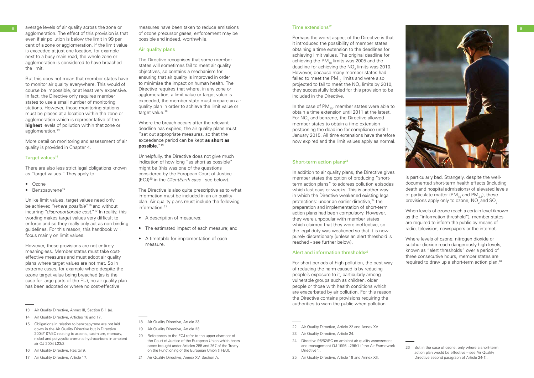average levels of air quality across the zone or agglomeration. The effect of this provision is that even if air pollution is below the limit in 99 per cent of a zone or agglomeration, if the limit value is exceeded at just one location, for example next to a busy main road, the whole zone or agglomeration is considered to have breached the limit.

But this does not mean that member states have to monitor air quality everywhere. This would of course be impossible, or at least very expensive. In fact, the Directive only requires member states to use a small number of monitoring stations. However, those monitoring stations must be placed at a location within the zone or agglomeration which is representative of the **highest** levels of pollution within that zone or agglomeration.<sup>13</sup>

- Ozone
- Benzoapyrene<sup>15</sup>

More detail on monitoring and assessment of air quality is provided in Chapter 4.

### Target values<sup>14</sup>

There are also less strict legal obligations known as "target values." They apply to:

The Directive recognises that some member states will sometimes fail to meet air quality objectives, so contains a mechanism for ensuring that air quality is improved in order to minimise the impact on human health. The Directive requires that where, in any zone or agglomeration, a limit value or target value is exceeded, the member state must prepare an air quality plan in order to achieve the limit value or target value.<sup>18</sup>

Unlike limit values, target values need only be achieved "*where possible"* 16 and without incurring "*disproportionate cost*."17 In reality, this wording makes target values very difficult to enforce and so they really only act as non-binding guidelines. For this reason, this handbook will focus mainly on limit values.

However, these provisions are not entirely meaningless. Member states must take costeffective measures and must adopt air quality plans where target values are not met. So in extreme cases, for example where despite the ozone target value being breached (as is the case for large parts of the EU), no air quality plan has been adopted or where no cost-effective

- 16 Air Quality Directive, Recital 9.
- 17 Air Quality Directive, Article 17.

measures have been taken to reduce emissions of ozone precursor gases, enforcement may be possible and indeed, worthwhile.

### Air quality plans

In the case of  $PM_{10}$ , member states were able to obtain a time extension until 2011 at the latest. For  $\mathsf{NO}_2$  and benzene, the Directive allowed member states to obtain a time extension postponing the deadline for compliance until 1 January 2015. All time extensions have therefore now expired and the limit values apply as normal.

### Short-term action plans $23$

Where the breach occurs after the relevant deadline has expired, the air quality plans must "set out appropriate measures, so that the exceedance period can be kept **as short as possible.**"19

> For short periods of high pollution, the best way of reducing the harm caused is by reducing people's exposure to it, particularly among vulnerable groups such as children, older people or those with health conditions which are exacerbated by air pollution. For this reason the Directive contains provisions requiring the authorities to warn the public when pollution

- 22 Air Quality Directive, Article 22 and Annex XV.
- 23 Air Quality Directive, Article 24.
- 24 Directive 96/62/EC on ambient air quality assessment and management OJ 1996 L296/1 ("the Air Framework Directive").
- 25 Air Quality Directive, Article 19 and Annex XII.

is particularly bad. Strangely, despite the welldocumented short-term health effects (including death and hospital admissions) of elevated levels of particulate matter (PM $_{10}$  and PM $_{2}$ ), these provisions apply only to ozone,  $\mathsf{NO}_2^{}$  and  $\mathsf{SO}_2^{}$ .



Unhelpfully, the Directive does not give much indication of how long "as short as possible" might be (this was one of the questions considered by the European Court of Justice (ECJ)20 in the *ClientEarth case* - see below).

The Directive is also quite prescriptive as to what information must be included in an air quality plan. Air quality plans must include the following information:21

- A description of measures;
- The estimated impact of each measure; and
- A timetable for implementation of each measure.

- 20 References to the ECJ refer to the upper chamber of the Court of Justice of the European Union which hears cases brought under Articles 285 and 267 of the Treaty on the Functioning of the European Union (TFEU).
- 21 Air Quality Directive, Annex XV, Section A.

### Time extensions<sup>22</sup>

Perhaps the worst aspect of the Directive is that it introduced the possibility of member states obtaining a time extension to the deadlines for achieving limit values. The original deadline for achieving the  $PM_{10}$  limits was 2005 and the deadline for achieving the NO $_2$  limits was 2010. However, because many member states had failed to meet the  $PM_{10}$  limits and were also projected to fail to meet the  $\mathsf{NO}_2$  limits by 2010, they successfully lobbied for this provision to be included in the Directive.

In addition to air quality plans, the Directive gives member states the option of producing "shortterm action plans" to address pollution episodes which last days or weeks. This is another way in which the Directive weakened existing legal protections: under an earlier directive.<sup>24</sup> the preparation and implementation of short-term action plans had been compulsory. However, they were unpopular with member states which claimed that they were ineffective, so the legal duty was weakened so that it is now purely discretionary (unless an alert threshold is reached - see further below).

### Alert and information thresholds<sup>25</sup>

When levels of ozone reach a certain level (known as the "information threshold"), member states are required to inform the public by means of radio, television, newspapers or the internet.

Where levels of ozone, nitrogen dioxide or sulphur dioxide reach dangerously high levels, known as "alert thresholds" over a period of three consecutive hours, member states are required to draw up a short-term action plan.26

<sup>13</sup> Air Quality Directive, Annex III, Section B.1 (a).

<sup>14</sup> Air Quality Directive, Articles 16 and 17.

<sup>15</sup> Obligations in relation to benzoapyrene are not laid down in the Air Quality Directive but in Directive 2004/107/EC relating to arsenic, cadmium, mercury, nickel and polycyclic aromatic hydrocarbons in ambient air OJ 2004 L23/3.

<sup>18</sup> Air Quality Directive, Article 23.

<sup>19</sup> Air Quality Directive, Article 23.

<sup>26</sup> But in the case of ozone, only where a short-term action plan would be effective – see Air Quality Directive second paragraph of Article 24(1).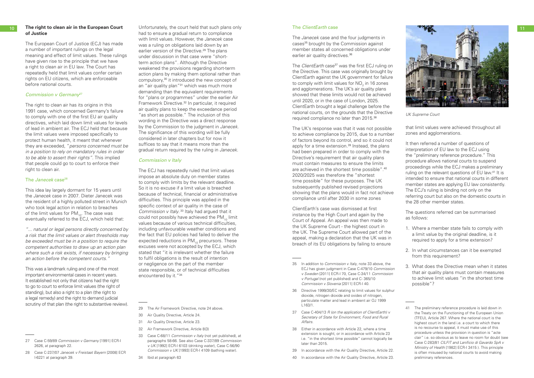### **10** The right to clean air in the European Court **of Justice**

The European Court of Justice (ECJ) has made a number of important rulings on the legal meaning and effect of limit values. These rulings have given rise to the principle that we have a right to clean air in EU law. The Court has repeatedly held that limit values confer certain rights on EU citizens, which are enforceable before national courts.

### *Commission v Germany*<sup>27</sup>

The right to clean air has its origins in this 1991 case, which concerned Germany's failure to comply with one of the first EU air quality directives, which laid down limit values for levels of lead in ambient air. The ECJ held that because the limit values were imposed specifically to protect human health, it meant that whenever they are exceeded, "*persons concerned must be in a position to rely on mandatory rules in order to be able to assert their rights".* This implied that people could go to court to enforce their right to clean air.

### The *Janecek* case<sup>28</sup>

This was a landmark ruling and one of the most important environmental cases in recent years. It established not only that citizens had the right to go to court to enforce limit values (the right of standing), but also a right to a plan (the right to a legal remedy) and the right to demand judicial scrutiny of that plan (the right to substantive review).

This idea lay largely dormant for 15 years until the *Janecek* case in 2007. Dieter Janecek was the resident of a highly polluted street in Munich who took legal action in relation to breaches of the limit values for  $PM_{10}$ . The case was eventually referred to the ECJ, which held that:

*"... natural or legal persons directly concerned by a risk that the limit values or alert thresholds may be exceeded must be in a position to require the competent authorities to draw up an action plan where such a risk exists, if necessary by bringing an action before the competent courts."*

- 29 The Air Framework Directive, note 24 above.
- 30 Air Quality Directive, Article 24.
- 31 Air Quality Directive, Article 23.
- 32 Air Framework Directive, Article 8(3)
- 33 Case C-68/11 *Commission v Italy* (not yet published), at paragraphs 58-66. See also Case C-337/89 *Commission v UK* [1992] ECR-I 6103 (drinking water), Case C-56/90 *Commission v UK* [1993] ECR-I 4109 (bathing water).
- 34 Ibid at paragraph 63

The *Janecek* case and the four judgments in cases<sup>35</sup> brought by the Commission against member states all concerned obligations under earlier air quality directives.<sup>36</sup>

The *ClientEarth* case<sup>37</sup> was the first ECJ ruling on the Directive. This case was originally brought by ClientEarth against the UK government for failure to comply with limit values for  $\mathsf{NO}_2$  in 16 zones and agglomerations. The UK's air quality plans showed that these limits would not be achieved until 2020, or in the case of London, 2025. ClientEarth brought a legal challenge before the national courts, on the grounds that the Directive required compliance no later than 2015.38

Unfortunately, the court held that such plans only had to ensure a gradual return to compliance with limit values. However, the *Janecek* case was a ruling on obligations laid down by an earlier version of the Directive.<sup>29</sup> The plans under discussion in that case were "shortterm action plans". Although the Directive weakened the provisions regarding short-term action plans by making them optional rather than compulsory,30 it introduced the new concept of an "air quality plan"<sup>31</sup> which was much more demanding than the equivalent requirements for "plans or programmes" under the earlier Air Framework Directive.32 In particular, it required air quality plans to keep the exceedance period "as short as possible." The inclusion of this wording in the Directive was a direct response by the Commission to the judgment in *Janecek*. The significance of this wording will be fully considered in later chapters but for now it suffices to say that it means more than the gradual return required by the ruling in *Janecek*.

### *Commission v Italy*

The ECJ has repeatedly ruled that limit values impose an absolute duty on member states to comply with limits by the relevant deadline. So it is no excuse if a limit value is breached because of technical, financial or administrative difficulties. This principle was applied in the specific context of air quality in the case of *Commission v Italy*.<sup>33</sup> Italy had argued that it could not possibly have achieved the PM<sub>10</sub> limit values because of various technical difficulties, including unfavourable weather conditions and the fact that EU policies had failed to deliver the expected reductions in  $PM_{10}$  precursors. These excuses were not accepted by the ECJ, which stated that "it is irrelevant whether the failure to fulfil obligations is the result of intention or negligence on the part of the member state responsible, or of technical difficulties encountered by it."34

### The *ClientEarth* case

The UK's response was that it was not possible to achieve compliance by 2015, due to a number of factors beyond its control, and so it could not apply for a time extension.<sup>39</sup> Instead, the plans had been prepared in order to comply with the Directive's requirement that air quality plans must contain measures to ensure the limits are achieved in the shortest time possible".40 2020/2025 was therefore the "shortest time possible" for these purposes. The UK subsequently published revised projections showing that the plans would in fact not achieve compliance until after 2030 in some zones

ClientEarth's case was dismissed at first instance by the High Court and again by the Court of Appeal. An appeal was then made to the UK Supreme Court - the highest court in the UK. The Supreme Court allowed part of the appeal, making a declaration that the UK was in breach of its EU obligations by failing to ensure

- 36 Directive 1999/30/EC relating to limit values for sulphur dioxide, nitrogen dioxide and oxides of nitrogen, particulate matter and lead in ambient air OJ 1999 L163/1.
- 37 Case C-404/13 *R (on the application of ClientEarth) v Secretary of State for Environment, Food and Rural Affairs*.
- 38 Either in accordance with Article 22, where a time extension is sought, or in accordance with Article 23 i.e. "in the shortest time possible" cannot logically be later than 2015.
- 39 In accordance with the Air Quality Directive, Article 22.
- 40 In accordance with the Air Quality Directive, Article 23.

that limit values were achieved throughout all zones and agglomerations.

It then referred a number of questions of interpretation of EU law to the ECJ using the "preliminary reference procedure." This procedure allows national courts to suspend proceedings while the ECJ makes a preliminary ruling on the relevant questions of EU law.<sup>41</sup> It is intended to ensure that national courts in different member states are applying EU law consistently. The ECJ's ruling is binding not only on the referring court but also on the domestic courts in the 28 other member states.

The questions referred can be summarised as follows:

- 1. Where a member state fails to comply with a limit value by the original deadline, is it required to apply for a time extension?
- 2. In what circumstances can it be exempted from this requirement?
- 3. What does the Directive mean when it states that air quality plans must contain measures to achieve limit values "in the shortest time possible"?



*UK Supreme Court*

<sup>27</sup> Case C-59/89 *Commission v Germany* [1991] ECR-I 2626, at paragraph 22.

<sup>28</sup> Case C-237/07 *Janecek v Freistaat Bayern* [2008] ECR I-6221 at paragraph 39.

<sup>35</sup> In addition to *Commission v Italy*, note 33 above, the ECJ has given judgment in Case C-479/10 *Commission v Sweden* [2011] ECR-I 70, Case C-34/11 *Commission v Portugal* (not yet published) and C- 365/10 *Commission v Slovenia* [2011] ECR-I 40.

<sup>41</sup> The preliminary reference procedure is laid down in the Treaty on the Functioning of the European Union (TFEU), Article 267. Where the national court is the highest court in the land i.e. a court to which there is no recourse to appeal, it must make use of this procedure unless the provision in question is "acte clair" i.e. so obvious as to leave no room for doubt (see Case C-283/81 *CILFIT and Lanificio di Gavardo SpA v Ministry of Health* [1982] ECR-I 3415 ). This principle is often misused by national courts to avoid making preliminary references.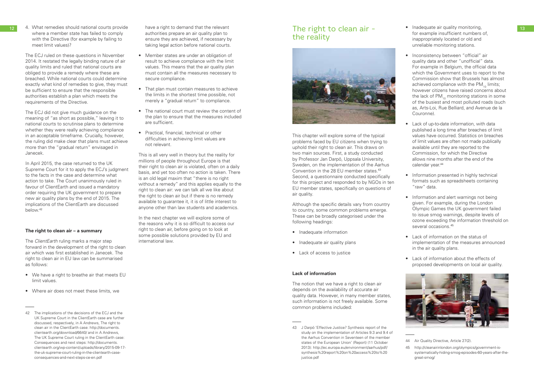12 4. What remedies should national courts provide have a right to demand that the relevant **The right to clean air -** • Inadequate air quality monitoring, where a member state has failed to comply with the Directive (for example by failing to meet limit values)?

The ECJ ruled on these questions in November 2014. It restated the legally binding nature of air quality limits and ruled that national courts are obliged to provide a remedy where these are breached. While national courts could determine exactly what kind of remedies to give, they must be sufficient to ensure that the responsible authorities establish a plan which meets the requirements of the Directive.

The ECJ did not give much guidance on the meaning of "as short as possible," leaving it to national courts to scrutinise plans to determine whether they were really achieving compliance in an acceptable timeframe. Crucially, however, the ruling did make clear that plans must achieve more than the "gradual return" envisaged in Janecek.

In April 2015, the case returned to the UK Supreme Court for it to apply the ECJ's judgment to the facts in the case and determine what action to take. The Court unanimously ruled in favour of ClientEarth and issued a mandatory order requiring the UK government to prepare new air quality plans by the end of 2015. The implications of the ClientEarth are discussed below.42

### **The right to clean air – a summary**

The *ClientEarth* ruling marks a major step forward in the development of the right to clean air which was first established in Janecek. The right to clean air in EU law can be summarised as follows:

- We have a right to breathe air that meets EU limit values.
- Where air does not meet these limits, we

have a right to demand that the relevant authorities prepare an air quality plan to ensure they are achieved, if necessary by taking legal action before national courts.

- Member states are under an obligation of result to achieve compliance with the limit values. This means that the air quality plan must contain all the measures necessary to secure compliance.
- That plan must contain measures to achieve the limits in the shortest time possible, not merely a "gradual return" to compliance.
- The national court must review the content of the plan to ensure that the measures included are sufficient.
- Practical, financial, technical or other difficulties in achieving limit values are not relevant.

This is all very well in theory but the reality for millions of people throughout Europe is that their right to clean air is violated, often on a daily basis, and yet too often no action is taken. There is an old legal maxim that "there is no right without a remedy" and this applies equally to the right to clean air: we can talk all we like about the right to clean air but if there is no remedy available to guarantee it, it is of little interest to anyone other than law students and academics.

- Inadequate air quality monitoring, for example insufficient numbers of, inappropriately located or old and unreliable monitoring stations.
- Inconsistency between "official" air quality data and other "unofficial" data. For example in Belgium, the official data which the Government uses to report to the Commission show that Brussels has almost achieved compliance with the  $PM_{10}$  limits; however citizens have raised concerns about the lack of  $PM_{10}$  monitoring stations in some of the busiest and most polluted roads (such as, Arts-Loi, Rue Belliard, and Avenue de la Couronne).
- Lack of up-to-date information, with data published a long time after breaches of limit values have occurred. Statistics on breaches of limit values are often not made publically available until they are reported to the Commission, for which the Directive allows nine months after the end of the calendar year.<sup>44</sup>
- Information presented in highly technical formats such as spreadsheets containing "raw" data.
- Information and alert warnings not being given. For example, during the London Olympic Games the UK government failed to issue smog warnings, despite levels of ozone exceeding the information threshold on several occasions.<sup>45</sup>
- Lack of information on the status of implementation of the measures announced in the air quality plans.
- Lack of information about the effects of proposed developments on local air quality.

In the next chapter we will explore some of the reasons why it is so difficult to access our right to clean air, before going on to look at some possible solutions provided by EU and international law.

# the reality



This chapter will explore some of the typical problems faced by EU citizens when trying to uphold their right to clean air. This draws on two main sources. First, a study conducted by Professor Jan Darpö, Uppsala University, Sweden, on the implementation of the Aarhus Convention in the 28 FU member states 43 Second, a questionnaire conducted specifically for this project and responded to by NGOs in ten EU member states, specifically on questions of air quality.

Although the specific details vary from country to country, some common problems emerge. These can be broadly categorised under the following headings:

- Inadequate information
- Inadequate air quality plans
- Lack of access to justice

### **Lack of information**

The notion that we have a right to clean air depends on the availability of accurate air quality data. However, in many member states, such information is not freely available. Some common problems included:



<sup>44</sup> Air Quality Directive, Article 27(2).

<sup>42</sup> The implications of the decisions of the ECJ and the UK Supreme Court in the ClientEarth case are further discussed, respectively, in A Andrews, The right to clean air in the ClientEarth case: http://documents. clientearth.org/download/6640/ and in A Andrews, The UK Supreme Court ruling in the ClientEarth case: Consequences and next steps: http://documents. clientearth.org/wp-content/uploads/library/2015-09-17 the-uk-supreme-court-ruling-in-the-clientearth-caseconsequences-and-next-steps-ce-en.pdf

<sup>43</sup> J Darpö 'Effective Justice? Synthesis report of the study on the implementation of Articles 9.3 and 9.4 of the Aarhus Convention in Seventeen of the member states of the European Union' (Report) (11 October 2013): http://ec.europa.eu/environment/aarhus/pdf/ synthesis%20report%20on%20access%20to%20 justice.pdf

<sup>45</sup> http://cleanairinlondon.org/olympics/government-issystematically-hiding-smog-episodes-60-years-after-thegreat-smog/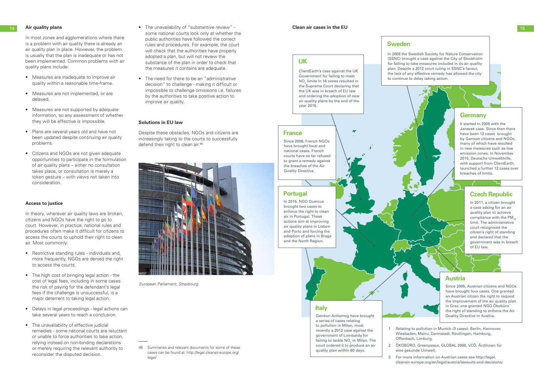In most zones and agglomerations where there is a problem with air quality there is already an air quality plan in place. However, the problem is usually that the plan is inadequate or has not been implemented. Common problems with air quality plans include:

- Measures are inadequate to improve air quality within a reasonable time-frame.
- Measures are not implemented, or are delayed.
- Measures are not supported by adequate information, so any assessment of whether they will be effective is impossible.
- Plans are several years old and have not been updated despite continuing air quality problems.
- Citizens and NGOs are not given adequate opportunities to participate in the formulation of air quality plans – either no consultation takes place, or consultation is merely a token gesture – with views not taken into consideration.

### **Access to justice**

In theory, wherever air quality laws are broken, citizens and NGOs have the right to go to court. However, in practice, national rules and procedures often make it difficult for citizens to access the courts to uphold their right to clean air. Most commonly:

- 14 **Air quality plans 15 Air quality plans 15** some national courts look only at whether the public authorities have followed the correct rules and procedures. For example, the court will check that the authorities have properly adopted a plan, but will not review the substance of the plan in order to check that the measures it contains are adequate.
	- The need for there to be an "administrative decision" to challenge - making it difficult or impossible to challenge omissions i.e. failures by the authorities to take positive action to improve air quality.

Despite these obstacles, NGOs and citizens are increasingly taking to the courts to successfully defend their right to clean air.<sup>46</sup>



- Restrictive standing rules individuals and, more frequently, NGOs are denied the right to access the courts.
- The high cost of bringing legal action the cost of legal fees, including in some cases the risk of paying for the defendant's legal fees if the challenge is unsuccessful, is a major deterrent to taking legal action.
- Delays in legal proceedings legal actions can take several years to reach a conclusion.
- The unavailability of effective judicial remedies - some national courts are reluctant or unable to force authorities to take action, relying instead on non-binding declarations or merely requiring the relevant authority to reconsider the disputed decision.

### **Solutions in EU law**

46 Summaries and relevant documents for some of these cases can be found at: http://legal.cleanair-europe.org/ legal/

*European Parliament, Strasbourg*

### **Clean air cases in the EU**

### **Italy**

Genitori Antismog have brought a series of cases relating to pollution in Milan, most recently a 2012 case against the government of Lombardy for failing to tackle  $\mathsf{NO}_2$  in Milan. The court ordered it to produce an air quality plan within 60 days.

### **France**

Since 2006, French NGOs have brought local and national cases. French courts have so far refused to grant a remedy against the breaches of the Air Quality Directive.

### **UK**

ClientEarth's case against the UK Government for failing to meet  $NO<sub>2</sub>$  limits in 16 zones resulted in the Supreme Court declaring that the UK was in breach of EU law and ordering the adoption of new air quality plans by the end of the year 2015.

### **Germany**

It started in 2005 with the Janecek case. Since then there have been 12 cases brought by German citizens and NGOs, many of which have resulted in new measures such as low emission zones. In November 2015, Deutsche Umwelthilfe, with support from ClientEarth, launched a further 12 cases over breaches of limits.

### **Czech Republic**

In 2011, a citizen brought a case asking for an air quality plan to achieve compliance with the  $PM_{10}$ limit. The administrative court recognised the citizen's right of standing and declared that the government was in breach of EU law.



### **Austria**

Since 2005, Austrian citizens and NGOs have brought four cases. One granted an Austrian citizen the right to request the improvement of the air quality plan in Graz; one granted NGO Ökobüro the right of standing to enforce the Air Quality Directive in Austria.

1 Relating to pollution in Munich (3 cases), Berlin, Hannover, Wiesbaden, Mainz, Darmstadt, Reutlingen, Hamburg, Offenbach, Limburg.

2 ÖKOBÜRO, Greenpeace, GLOBAL 2000, VCÖ, ÄrztInnen für eine gesunde Umwelt.

3 For more information on Austrian cases see http://legal. cleanair-europe.org/en/legal/austria/lawsuits-and-decisions/

In 2008 the Swedish Society for Nature Conservation (SSNC) brought a case against the City of Stockholm for failing to take measures included in its air quality plan. Despite a 2012 court ruling in SSNC's favour, the lack of any effective remedy has allowed the city to continue to delay taking action.

### **Portugal**

In 2015, NGO Quercus brought two cases to enforce the right to clean air in Portugal. These actions aim at improving air quality plans in Lisbon and Porto and forcing the adoption of plans in Braga and the North Region.

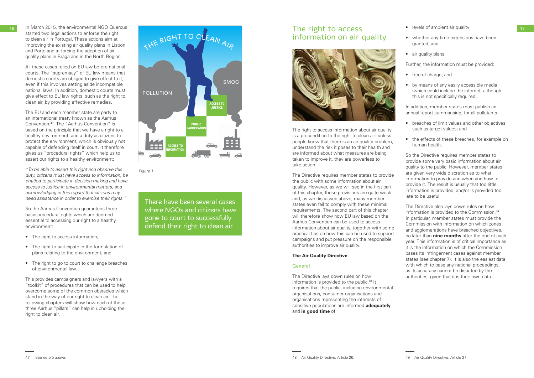started two legal actions to enforce the right to clean air in Portugal. These actions aim at improving the existing air quality plans in Lisbon and Porto and at forcing the adoption of air quality plans in Braga and in the North Region.

All these cases relied on EU law before national courts. The "supremacy" of EU law means that domestic courts are obliged to give effect to it, even if this involves setting aside incompatible national laws. In addition, domestic courts must give effect to EU law rights, such as the right to clean air, by providing effective remedies.

The EU and each member state are party to an international treaty known as the Aarhus Convention.47 The "Aarhus Convention" is based on the principle that we have a right to a healthy environment, and a duty as citizens to protect the environment, which is obviously not capable of defending itself in court. It therefore gives us "procedural rights" which help us to assert our rights to a healthy environment:

- The right to access information;
- The right to participate in the formulation of plans relating to the environment; and
- The right to go to court to challenge breaches of environmental law.



*"To be able to assert this right and observe this duty, citizens must have access to information, be entitled to participate in decision-making and have access to justice in environmental matters, and acknowledging in this regard that citizens may need assistance in order to exercise their rights."*

So the Aarhus Convention guarantees three basic procedural rights which are deemed essential to accessing our right to a healthy environment:

This provides campaigners and lawyers with a "toolkit" of procedures that can be used to help overcome some of the common obstacles which stand in the way of our right to clean air. The following chapters will show how each of these three Aarhus "pillars" can help in upholding the right to clean air.



There have been several cases where NGOs and citizens have gone to court to successfully defend their right to clean air

*Figure 1*

# information on air quality

The right to access information about air quality is a precondition to the right to clean air: unless people know that there is an air quality problem, understand the risk it poses to their health and are informed about what measures are being taken to improve it, they are powerless to take action.

The Directive requires member states to provide the public with some information about air quality. However, as we will see in the first part of this chapter, these provisions are quite weak and, as we discussed above, many member states even fail to comply with these minimal requirements. The second part of this chapter will therefore show how EU law based on the Aarhus Convention can be used to access information about air quality, together with some practical tips on how this can be used to support campaigns and put pressure on the responsible authorities to improve air quality.

### **The Air Quality Directive**

### General

The Directive lays down rules on how information is provided to the public.48 It requires that the public, including environmental organisations, consumer organisations and organisations representing the interests of sensitive populations are informed **adequately** and **in good time** of:

- levels of ambient air quality;
- whether any time extensions have been granted; and
- air quality plans.

Further, the information must be provided:

- free of charge; and
- by means of any easily accessible media (which could include the internet, although this is not specifically required).

In addition, member states must publish an annual report summarising, for all pollutants:

- breaches of limit values and other objectives such as target values; and
- the effects of these breaches, for example on human health.

So the Directive requires member states to provide some very basic information about air quality to the public. However, member states are given very wide discretion as to what information to provide and when and how to provide it. The result is usually that too little information is provided, and/or is provided too late to be useful.

The Directive also lays down rules on how information is provided to the Commission.49 In particular, member states must provide the Commission with information on which zones and agglomerations have breached objectives. no later than **nine months** after the end of each year. This information is of critical importance as it is the information on which the Commission bases its infringement cases against member states (see chapter 7). It is also the easiest data with which to base any national proceedings. as its accuracy cannot be disputed by the authorities, given that it is their own data.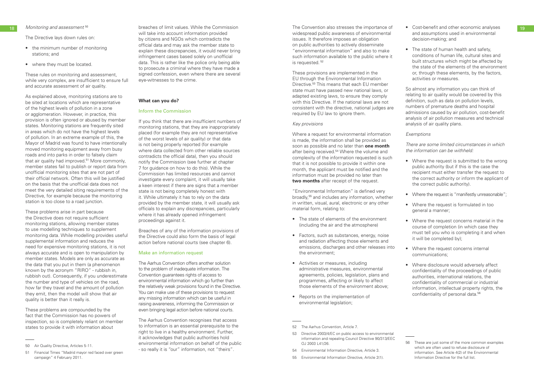The Directive lays down rules on:

- the minimum number of monitoring stations; and
- where they must be located.

These rules on monitoring and assessment, while very complex, are insufficient to ensure full and accurate assessment of air quality.

As explained above, monitoring stations are to be sited at locations which are representative of the highest levels of pollution in a zone or agglomeration. However, in practice, this provision is often ignored or abused by member states. Monitoring stations are frequently sited in areas which do not have the highest levels of pollution. In an extreme example of this, the Mayor of Madrid was found to have intentionally moved monitoring equipment away from busy roads and into parks in order to falsely claim that air quality had improved.<sup>51</sup> More commonly, member states fail to publish or report data from unofficial monitoring sites that are not part of their official network. Often this will be justified on the basis that the unofficial data does not meet the very detailed siting requirements of the Directive, for example because the monitoring station is too close to a road junction.

18 Monitoring and assessment <sup>50</sup> **Exercise Set Access** of limit values. While the Commission The Convention also stresses the importance of Cost-benefit and other economic analyses 19 breaches of limit values. While the Commission will take into account information provided by citizens and NGOs which contradicts the official data and may ask the member state to explain these discrepancies, it would never bring infringement cases based solely on unofficial data. This is rather like the police only being able to prosecute a criminal where they have made a signed confession, even where there are several eye-witnesses to the crime.

These problems arise in part because the Directive does not require sufficient monitoring stations, allowing member states to use modelling techniques to supplement monitoring data. While modelling provides useful supplemental information and reduces the need for expensive monitoring stations, it is not always accurate and is open to manipulation by member states. Models are only as accurate as the data that you put in them (a phenomenon known by the acronym "RIRO" - rubbish in, rubbish out). Consequently, if you underestimate the number and type of vehicles on the road, how far they travel and the amount of pollution they emit, then the model will show that air quality is better than it really is.

These problems are compounded by the fact that the Commission has no powers of inspection, so is completely reliant on member states to provide it with information about

The Aarhus Convention recognises that access to information is an essential prerequisite to the right to live in a healthy environment. Further, it acknowledges that public authorities hold environmental information on behalf of the public - so really it is "our" information, not "theirs".

### **What can you do?**

### Inform the Commission

If you think that there are insufficient numbers of monitoring stations, that they are inappropriately placed (for example they are not representative of the worst levels of air quality) or that data is not being properly reported (for example where data collected from other reliable sources contradicts the official data), then you should notify the Commission (see further at chapter 7 for guidance on how to do this). While the Commission has limited resources and cannot investigate every complaint, it will usually take a keen interest if there are signs that a member state is not being completely honest with it. While ultimately it has to rely on the data provided by the member state, it will usually ask officials to explain any discrepancies, particularly where it has already opened infringement proceedings against it.

- Where the request is submitted to the wrong public authority (but if this is the case the recipient must either transfer the request to the correct authority or inform the applicant of the correct public authority).
- Where the request is "manifestly unreasonable";
- Where the request is formulated in too general a manner;
- Where the request concerns material in the course of completion (in which case they must tell you who is completing it and when it will be completed by);
- Where the request concerns internal communications;
- Where disclosure would adversely affect confidentiality of the proceedings of public authorities, international relations, the confidentiality of commercial or industrial information, intellectual property rights, the confidentiality of personal data.<sup>56</sup>

Breaches of any of the information provisions of the Directive could also form the basis of legal action before national courts (see chapter 6).

### Make an information request

The Aarhus Convention offers another solution to the problem of inadequate information. The Convention guarantees rights of access to environmental information which go further than the relatively weak provisions found in the Directive. You can make use of these provisions to request any missing information which can be useful in raising awareness, informing the Commission or even bringing legal action before national courts.

widespread public awareness of environmental issues. It therefore imposes an obligation on public authorities to actively disseminate "environmental information" and also to make such information available to the public where it is requested. <sup>52</sup>

These provisions are implemented in the EU through the Environmental Information Directive.<sup>53</sup> This means that each EU member state must have passed new national laws, or adapted existing laws, to ensure they comply with this Directive. If the national laws are not consistent with the directive, national judges are required by EU law to ignore them.

### *Key provisions*

Where a request for environmental information is made, the information shall be provided as soon as possible and no later than **one month** after being received.<sup>54</sup> Where the volume and complexity of the information requested is such that it is not possible to provide it within one month, the applicant must be notified and the information must be provided no later than **two months** after receipt of the request.

"Environmental Information" is defined very broadly,55 and includes any information, whether in written, visual, aural, electronic or any other material form, relating to:

- The state of elements of the environment (including the air and the atmosphere)
- Factors, such as substances, energy, noise and radiation affecting those elements and emissions, discharges and other releases into the environment;
- Activities or measures, including administrative measures, environmental agreements, policies, legislation, plans and programmes, affecting or likely to affect those elements of the environment above;
- Reports on the implementation of environmental legislation;

55 Environmental Information Directive, Article 2(1).

- Cost-benefit and other economic analyses and assumptions used in environmental decision-making; and
- The state of human health and safety, conditions of human life, cultural sites and built structures which might be affected by the state of the elements of the environment or, through these elements, by the factors, activities or measures.

So almost any information you can think of relating to air quality would be covered by this definition, such as data on pollution levels, numbers of premature deaths and hospital admissions caused by air pollution, cost-benefit analysis of air pollution measures and technical analysis of air quality plans.

### *Exemptions*

*There are some limited circumstances in which the information can be withheld:* 

<sup>50</sup> Air Quality Directive, Articles 5-11.

<sup>51</sup> Financial Times "Madrid mayor red faced over green campaign" 4 February 2011.

<sup>52</sup> The Aarhus Convention, Article 7.

<sup>53</sup> Directive 2003/4/EC on public access to environmental information and repealing Council Directive 90/313/EEC OJ 2003 L41/26.

<sup>54</sup> Environmental Information Directive, Article 3.

<sup>56</sup> These are just some of the more common examples which are often used to refuse disclosure of information. See Article 4(2) of the Environmental Information Directive for the full list.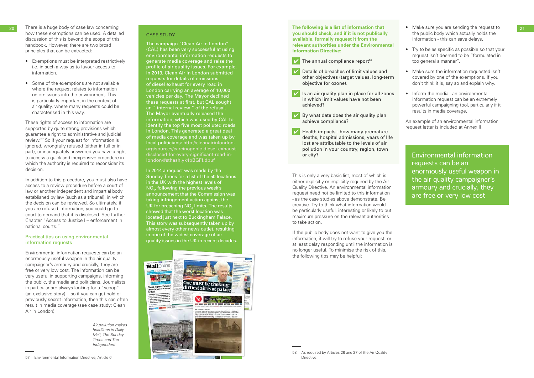### CASE STUDY

- There is a huge body of case law concerning how these exemptions can be used. A detailed discussion of this is beyond the scope of this handbook. However, there are two broad
- principles that can be extracted: Exemptions must be interpreted restrictively i.e. in such a way as to favour access to information.
- Some of the exemptions are not available where the request relates to information on emissions into the environment. This is particularly important in the context of air quality, where many requests could be characterised in this way.

These rights of access to information are supported by quite strong provisions which guarantee a right to administrative and judicial review.57 So if your request for information is ignored, wrongfully refused (either in full or in part), or inadequately answered you have a right to access a quick and inexpensive procedure in which the authority is required to reconsider its decision.

In addition to this procedure, you must also have access to a review procedure before a court of law or another independent and impartial body established by law (such as a tribunal), in which the decision can be reviewed. So ultimately, if you are refused information, you could go to court to demand that it is disclosed. See further Chapter "Access to Justice I – enforcement in national courts."

### Practical tips on using environmental information requests

Environmental information requests can be an enormously useful weapon in the air quality campaigner's armoury and crucially, they are free or very low cost. The information can be very useful in supporting campaigns, informing the public, the media and politicians. Journalists in particular are always looking for a "scoop" (an exclusive story) - so if you can get hold of previously secret information, then this can often result in media coverage (see case study: Clean Air in London)

20 The following is a list of information that the Make sure you are sending the request to the 21 **The following is a list of information that you should check, and if it is not publically available, formally request it from the relevant authorities under the Environmental Information Directive:**

- The annual compliance report<sup>58</sup>
- Details of breaches of limit values and other objectives (target values, long-term objective for ozone).
- Is an air quality plan in place for all zones in which limit values have not been achieved?
- $\triangleright$  By what date does the air quality plan achieve compliance?
- $\triangledown$  Health impacts how many premature deaths, hospital admissions, years of life lost are attributable to the levels of air pollution in your country, region, town or city?

The campaign "Clean Air in London" (CAL) has been very successful at using environmental information requests to generate media coverage and raise the profile of air quality issues. For example, in 2013, Clean Air in London submitted requests for details of emissions of diesel exhaust for every road in London carrying an average of 10,000 vehicles per day. The Mayor declined these requests at first, but CAL sought an " internal review " of the refusal. The Mayor eventually released the information, which was used by CAL to identify the top five most polluted roads in London. This generated a great deal of media coverage and was taken up by local politicians: http://cleanairinlondon. org/sources/carcinogenic-diesel-exhaustdisclosed-for-every-significant-road-inlondon/#sthash.yk4pBGFf.dpuf

In 2014 a request was made by the Sunday Times for a list of the 50 locations in the UK with the highest levels of  $\mathsf{NO}_{2'}$  following the previous week's announcement that the Commission was taking infringement action against the UK for breaching NO $_{\textrm{\tiny{2}}}$  limits. The results showed that the worst location was located just next to Buckingham Palace. This story was subsequently taken up by almost every other news outlet, resulting in one of the widest coverage of air quality issues in the UK in recent decades.



*Air pollution makes headlines in Daily Mail, The Sunday Times and The Independent*

This is only a very basic list, most of which is either explicitly or implicitly required by the Air Quality Directive. An environmental information request need not be limited to this information - as the case studies above demonstrate. Be creative. Try to think what information would be particularly useful, interesting or likely to put maximum pressure on the relevant authorities to take action.

If the public body does not want to give you the information, it will try to refuse your request, or at least delay responding until the information is no longer useful. To minimise the risk of this, the following tips may be helpful:

- the public body which actually holds the information - this can save delays.
- Try to be as specific as possible so that your request isn't deemed to be "formulated in too general a manner".
- Make sure the information requested isn't covered by one of the exemptions. If you don't think it is, say so and explain why.
- Inform the media an environmental information request can be an extremely powerful campaigning tool, particularly if it results in media coverage.

An example of an environmental information request letter is included at Annex II.

Environmental information requests can be an enormously useful weapon in the air quality campaigner's armoury and crucially, they are free or very low cost

<sup>58</sup> As required by Articles 26 and 27 of the Air Quality **Directive**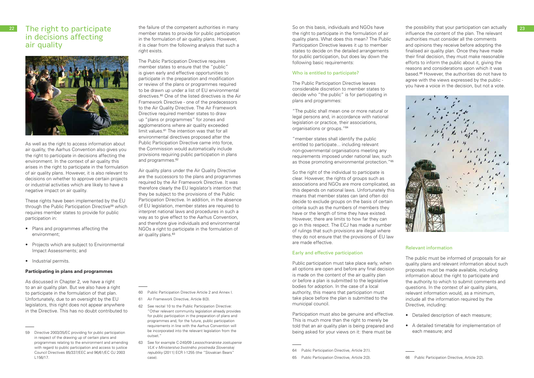### 22 The right to participate in decisions affecting air quality



As well as the right to access information about air quality, the Aarhus Convention also gives you the right to participate in decisions affecting the environment. In the context of air quality this arises in the right to participate in the formulation of air quality plans. However, it is also relevant to decisions on whether to approve certain projects or industrial activities which are likely to have a negative impact on air quality.

- Plans and programmes affecting the environment;
- Projects which are subject to Environmental Impact Assessments; and
- Industrial permits.

These rights have been implemented by the EU through the Public Participation Directive<sup>59</sup> which requires member states to provide for public participation in:

The Public Participation Directive requires member states to ensure that the "public" is given early and effective opportunities to participate in the preparation and modification or review of the plans or programmes required to be drawn up under a list of EU environmental directives.<sup>60</sup> One of the listed directives is the Air Framework Directive - one of the predecessors to the Air Quality Directive. The Air Framework Directive required member states to draw up "plans or programmes" for zones and agglomerations where air quality exceeded limit values.<sup>61</sup> The intention was that for all environmental directives proposed after the Public Participation Directive came into force, the Commission would automatically include provisions requiring public participation in plans and programmes.<sup>62</sup>

### **Participating in plans and programmes**

As discussed in Chapter 2, we have a right to an air quality plan. But we also have a right to participate in the formulation of that plan. Unfortunately, due to an oversight by the EU legislators, this right does not appear anywhere in the Directive. This has no doubt contributed to Air quality plans under the Air Quality Directive are the successors to the plans and programmes required by the Air Framework Directive. It was therefore clearly the EU legislator's intention that they be subject to the provisions of the Public Participation Directive. In addition, in the absence of EU legislation, member states are required to interpret national laws and procedures in such a way as to give effect to the Aarhus Convention, and therefore give individuals and environmental NGOs a right to participate in the formulation of air quality plans.<sup>63</sup>

the failure of the competent authorities in many member states to provide for public participation in the formulation of air quality plans. However, it is clear from the following analysis that such a right exists.

60 Public Participation Directive Article 2 and Annex I.

- 61 Air Framework Directive, Article 8(3).
- 62 See recital 10 to the Public Participation Directive: "Other relevant community legislation already provides for public participation in the preparation of plans and programmes and, for the future, public participation requirements in line with the Aarhus Convention will be incorporated into the relevant legislation from the outset."
- 63 See for example C-240/09 *Lesoochranárske zoskupenie VLK v Ministerstvo* životného *prostredia Slovenskej republiky* [2011] ECR I-1255 (the "Slovakian Bears" case).

So on this basis, individuals and NGOs have the right to participate in the formulation of air quality plans. What does this mean? The Public Participation Directive leaves it up to member states to decide on the detailed arrangements for public participation, but does lay down the following basic requirements:

### Who is entitled to participate?

The Public Participation Directive leaves considerable discretion to member states to decide who "the public" is for participating in plans and programmes:

"The public shall mean one or more natural or legal persons and, in accordance with national legislation or practice, their associations, organisations or groups."64

"member states shall identify the public entitled to participate... including relevant non-governmental organisations meeting any requirements imposed under national law, such as those promoting environmental protection."65

So the right of the individual to participate is clear. However, the rights of groups such as associations and NGOs are more complicated, as this depends on national laws. Unfortunately this means that member states can (and often do) decide to exclude groups on the basis of certain criteria such as the numbers of members they have or the length of time they have existed. However, there are limits to how far they can go in this respect. The ECJ has made a number of rulings that such provisions are illegal where they do not ensure that the provisions of EU law are made effective.

### Early and effective participation

Public participation must take place early, when all options are open and before any final decision is made on the content of the air quality plan or before a plan is submitted to the legislative bodies for adoption. In the case of a local authority, this means that participation must take place before the plan is submitted to the municipal council.

Participation must also be genuine and effective. This is much more than the right to merely be told that an air quality plan is being prepared and being asked for your views on it: there must be

65 Public Participation Directive, Article 2(3).

the possibility that your participation can actually influence the content of the plan. The relevant authorities must consider all the comments and opinions they receive before adopting the finalised air quality plan. Once they have made their final decision, they must make reasonable efforts to inform the public about it, giving the reasons and considerations upon which it was based.66 However, the authorities do not have to agree with the views expressed by the public you have a voice in the decision, but not a vote.



### Relevant information

The public must be informed of proposals for air quality plans and relevant information about such proposals must be made available, including information about the right to participate and the authority to which to submit comments and questions. In the context of air quality plans, relevant information would, as a minimum, include all the information required by the Directive, including:

- Detailed description of each measure;
- A detailed timetable for implementation of each measure; and

<sup>59</sup> Directive 2003/35/EC providing for public participation in respect of the drawing up of certain plans and programmes relating to the environment and amending with regard to public participation and access to justice Council Directives 85/337/EEC and 96/61/EC OJ 2003 L156/17.

<sup>64</sup> Public Participation Directive, Article 2(1).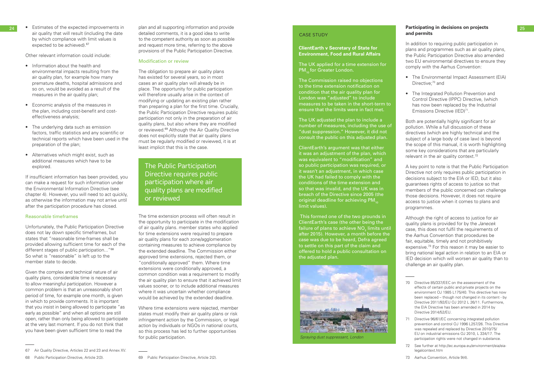• Estimates of the expected improvements in air quality that will result (including the date by which compliance with limit values is expected to be achieved).<sup>67</sup>

Other relevant information could include:<br>• Information about the health and

- environmental impacts resulting from the air quality plan, for example how many premature deaths, hospital admissions and so on, would be avoided as a result of the measures in the air quality plan;
- Economic analysis of the measures in the plan, including cost-benefit and costeffectiveness analysis;
- The underlying data such as emission factors, traffic statistics and any scientific or technical reports which have been used in the preparation of the plan;
- Alternatives which might exist, such as additional measures which have to be explored.

If insufficient information has been provided, you can make a request for such information under the Environmental Information Directive (see chapter 4). However, you will need to act quickly, as otherwise the information may not arrive until after the participation procedure has closed.

### Reasonable timeframes

Unfortunately, the Public Participation Directive does not lay down specific timeframes, but states that "reasonable time-frames shall be provided allowing sufficient time for each of the different stages of public participation..."<sup>68</sup> So what is "reasonable" is left up to the member state to decide.

The obligation to prepare air quality plans has existed for several years, so in most cases an air quality plan will already be in place. The opportunity for public participation will therefore usually arise in the context of modifying or updating an existing plan rather than preparing a plan for the first time. Crucially, the Public Participation Directive requires public participation not only in the preparation of air quality plans, but also where they are modified or reviewed.<sup>69</sup> Although the Air Quality Directive does not explicitly state that air quality plans must be regularly modified or reviewed, it is at least implicit that this is the case.

Given the complex and technical nature of air quality plans, considerable time is necessary to allow meaningful participation. However a common problem is that an unreasonably short period of time, for example one month, is given in which to provide comments. It is important that you insist in being allowed to participate "as early as possible" and when all options are still open, rather than only being allowed to participate at the very last moment. If you do not think that you have been given sufficient time to read the

The UK applied for a time extension for PM<sub>10</sub> for Greater London.

plan and all supporting information and provide detailed comments, it is a good idea to write to the competent authority as soon as possible and request more time, referring to the above provisions of the Public Participation Directive.

### Modification or review

The UK adjusted the plan to include a number of measures, including the use of "dust suppression." However, it did not consult the public on this adjusted plan.

Both are potentially highly significant for air pollution. While a full discussion of these directives (which are highly technical and the subject of a large body of case law) is beyond the scope of this manual, it is worth highlighting some key considerations that are particularly relevant in the air quality context.<sup>72</sup>

The time extension process will often result in the opportunity to participate in the modification of air quality plans. member states who applied for time extensions were required to prepare air quality plans for each zone/agglomeration containing measures to achieve compliance by the extended deadline. The Commission either approved time extensions, rejected them, or "conditionally approved" them. Where time extensions were conditionally approved, a common condition was a requirement to modify the air quality plan to ensure that it achieved limit values sooner, or to include additional measures where it was uncertain whether compliance would be achieved by the extended deadline.

Although the right of access to justice for air quality plans is provided for by the *Janecek* case, this does not fulfil the requirements of the Aarhus Convention that procedures be fair, equitable, timely and not prohibitively expensive.73 For this reason it may be easier to bring national legal action in relation to an EIA or IED decision which will worsen air quality than to challenge an air quality plan.

Where time extensions were rejected, member states must modify their air quality plans or risk infringement action by the Commission, or legal action by individuals or NGOs in national courts, so this process has led to further opportunities for public participation.

The Public Participation Directive requires public participation where air quality plans are modified or reviewed

### CASE STUDY

**ClientEarth v Secretary of State for Environment, Food and Rural Affairs**

The Commission raised no objections to the time extension notification on condition that the air quality plan for London was "adjusted" to include measures to be taken in the short-term to ensure that the limits were in fact met.

ClientEarth's argument was that either it was an adjustment of the plan, which was equivalent to "modification" and so public participation was required, or it wasn't an adjustment, in which case the UK had failed to comply with the conditions of the time extension and so that was invalid, and the UK was in breach of the Directive since 2005 (the original deadline for achieving  $PM_{10}$ limit values).

 This formed one of the two grounds in ClientEarth's case (the other being the failure of plans to achieve NO<sub>2</sub> limits until  $\frac{201}{201}$  and  $\frac{201}{201}$  at  $\frac{201}{201}$  and  $\frac{201}{201}$  at  $\frac{201}{201}$  and  $\frac{201}{201}$  and  $\frac{201}{201}$  and  $\frac{201}{201}$  and  $\frac{201}{201}$  and  $\frac{201}{201}$  and  $\frac{201}{201}$  and  $\frac{201}{201}$  and  $\frac{201$ case was due to be heard, Defra agreed to settle on this part of the claim and offered to hold a public consultation on the adjusted plan.



### **Participating in decisions on projects and permits**

In addition to requiring public participation in plans and programmes such as air quality plans, the Public Participation Directive also amended two EU environmental directives to ensure they comply with the Aarhus Convention:

- The Environmental Impact Assessment (EIA) Directive:<sup>70</sup> and
- The Integrated Pollution Prevention and Control Directive (IPPC) Directive, (which has now been replaced by the Industrial Emissions Directive (IED)<sup>71</sup>.

A key point to note is that the Public Participation Directive not only requires public participation in decisions subject to the EIA or IED, but it also guarantees rights of access to justice so that members of the public concerned can challenge those decisions. However, it does not require access to justice when it comes to plans and programmes.

- 71 Directive 96/61/EC concerning integrated pollution prevention and control OJ 1996 L257/26. This Directive was repealed and replaced by Directive 2010/75/ EU on industrial emissions OJ 2010, L 334/17. The participation rights were not changed in substance.
- 72 See further at http://ec.europa.eu/environment/eia/eialegalcontext.htm
- 73 Aarhus Convention, Article 9(4).

*Spraying dust suppressant, London*

<sup>67</sup> Air Quality Directive, Articles 22 and 23 and Annex XV.

<sup>68</sup> Public Participation Directive, Article 2(3).

<sup>69</sup> Public Participation Directive, Article 2(2).

<sup>70</sup> Directive 85/337/EEC on the assessment of the effects of certain public and private projects on the environment OJ 1985 L175/40. This directive has now been replaced – though not changed in its content - by Directive 2011/92/EU OJ 2012 L 26/11. Furthermore, the EIA Directive has been amended in 2014 by Directive 2014/52/EU.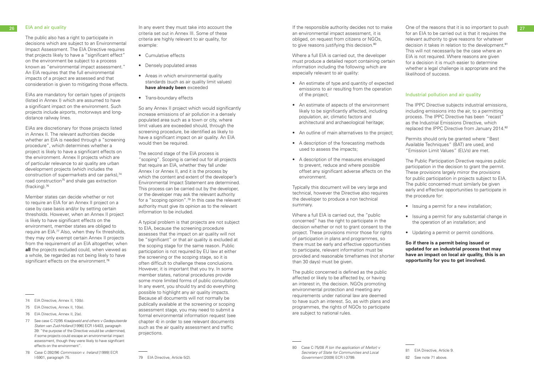The public also has a right to participate in decisions which are subject to an Environmental Impact Assessment. The EIA Directive requires that projects likely to have a "significant effect" on the environment be subject to a process known as "environmental impact assessment." An EIA requires that the full environmental impacts of a project are assessed and that consideration is given to mitigating those effects.

EIAs are mandatory for certain types of projects (listed in Annex I) which are assumed to have a significant impact on the environment. Such projects include airports, motorways and longdistance railway lines.

Member states can decide whether or not to require an EIA for an Annex II project on a case by case basis and/or by setting certain thresholds. However, when an Annex II project is likely to have significant effects on the environment, member states are obliged to require an EIA.77 Also, when they fix thresholds, they may only exempt certain Annex II projects from the requirement of an EIA altogether, when **all** the projects excluded could, when viewed as a whole, be regarded as not being likely to have significant effects on the environment.<sup>78</sup>

EIAs are discretionary for those projects listed in Annex II. The relevant authorities decide whether an EIA is needed through a "screening" procedure", which determines whether a project is likely to have a significant effects on the environment. Annex II projects which are of particular relevance to air quality are urban development projects (which includes the construction of supermarkets and car parks),74 road construction<sup>75</sup> and shale gas extraction (fracking).76

- Cumulative effects
- Densely populated areas
- Areas in which environmental quality standards (such as air quality limit values) **have already been** exceeded
- Trans-boundary effects

- 74 EIA Directive, Annex II, 10(b).
- 75 EIA Directive, Annex II, 10(e).
- 76 EIA Directive, Annex II, 2(e).
- 77 See case C-72/95 *Kraaijeveld and others v Gedeputeerde Staten van Zuid-Holland* [1996] ECR I-5403, paragraph 39: "the purpose of the Directive would be undermined, if some projects could escape an environmental impact assessment, though they were likely to have significant effects on the environment".
- 78 Case C-392/96 *Commission v. Ireland* [1999] ECR I-5901, paragraph 75.

Where a full EIA is carried out, the developer must produce a detailed report containing certain information including the following which are especially relevant to air quality:

In any event they must take into account the criteria set out in Annex III. Some of these criteria are highly relevant to air quality, for example:

So any Annex II project which would significantly increase emissions of air pollution in a densely populated area such as a town or city, where limit values are exceeded should, through the screening procedure, be identified as likely to have a significant impact on air quality. An EIA would then be required.

The second stage of the EIA process is "scoping". Scoping is carried out for all projects that require an EIA, whether they fall under Annex I or Annex II, and it is the process by which the content and extent of the developer's Environmental Impact Statement are determined. This process can be carried out by the developer, or the developer may ask the relevant authority for a "scoping opinion".79 In this case the relevant authority must give its opinion as to the relevant information to be included.

The IPPC Directive subjects industrial emissions, including emissions into the air, to a permitting process. The IPPC Directive has been "recast" as the Industrial Emissions Directive, which replaced the IPPC Directive from January 2014.<sup>82</sup>

- Issuing a permit for a new installation;
- Issuing a permit for any substantial change in the operation of an installation; and
- Updating a permit or permit conditions.

A typical problem is that projects are not subject to EIA, because the screening procedure assesses that the impact on air quality will not be "significant" or that air quality is excluded at the scoping stage for the same reason. Public participation is not required by EU law at either the screening or the scoping stage, so it is often difficult to challenge these conclusions. However, it is important that you try. In some member states, national procedures provide some more limited forms of public consultation. In any event, you should try and do everything possible to highlight any air quality impacts. Because all documents will not normally be publically available at the screening or scoping assessment stage, you may need to submit a formal environmental information request (see chapter 4) in order to see relevant documents such as the air quality assessment and traffic projections.

26 EIA and air quality **27 CHA** and air quality and the state into account the secount the serves of the responsible authority decides not to make One of the reasons that it is so important to push 27 If the responsible authority decides not to make an environmental impact assessment, it is obliged, on request from citizens or NGOs, to give reasons justifying this decision.<sup>80</sup>

- An estimate of type and quantity of expected emissions to air resulting from the operation of the project;
- An estimate of aspects of the environment likely to be significantly affected, including population, air, climatic factors and architectural and archaeological heritage;
- An outline of main alternatives to the project;
- A description of the forecasting methods used to assess the impacts;
- A description of the measures envisaged to prevent, reduce and where possible offset any significant adverse affects on the environment.

Typically this document will be very large and technical, however the Directive also requires the developer to produce a non technical summary.

Where a full EIA is carried out, the "public concerned" has the right to participate in the decision whether or not to grant consent to the project. These provisions mirror those for rights of participation in plans and programmes, so there must be early and effective opportunities to participate, relevant information must be provided and reasonable timeframes (not shorter than 30 days) must be given.

The public concerned is defined as the public affected or likely to be affected by, or having an interest in, the decision. NGOs promoting environmental protection and meeting any requirements under national law are deemed to have such an interest. So, as with plans and programmes, the rights of NGOs to participate are subject to national rules.

for an EIA to be carried out is that it requires the relevant authority to give reasons for whatever decision it takes in relation to the development.<sup>81</sup> This will not necessarily be the case where an EIA is not required. Where reasons are given for a decision it is much easier to determine whether a legal challenge is appropriate and the likelihood of success.

### Industrial pollution and air quality

Permits should only be granted where "Best Available Techniques" (BAT) are used, and "Emission Limit Values" (ELVs) are met.

The Public Participation Directive requires public participation in the decision to grant the permit. These provisions largely mirror the provisions for public participation in projects subject to EIA. The public concerned must similarly be given early and effective opportunities to participate in the procedure for:

**So if there is a permit being issued or updated for an industrial process that may have an impact on local air quality, this is an opportunity for you to get involved.** 

<sup>79</sup> EIA Directive, Article 5(2).

<sup>80</sup> Case C-75/08 *R (on the application of Mellor) v Secretary of State for Communities and Local Government* [2009] ECR I-3799.

<sup>81</sup> EIA Directive, Article 9.

<sup>82</sup> See note 71 above.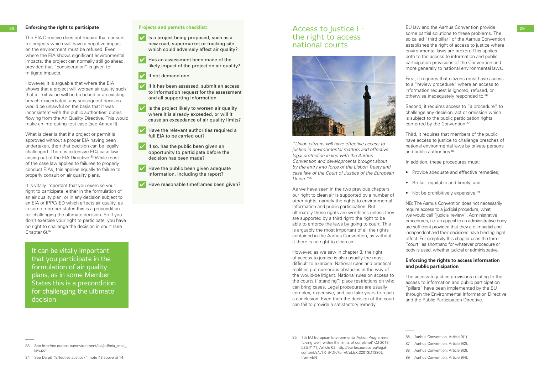The EIA Directive does not require that consent for projects which will have a negative impact on the environment must be refused. Even where the EIA shows significant environmental impacts, the project can normally still go ahead, provided that "consideration" is given to mitigate impacts.

However, it is arguable that where the EIA shows that a project will worsen air quality such that a limit value will be breached or an existing breach exacerbated, any subsequent decision would be unlawful on the basis that it was inconsistent with the public authorities' duties flowing from the Air Quality Directive. This would make an interesting test case (see Annex II).

It is vitally important that you exercise your right to participate, either in the formulation of an air quality plan, or in any decision subject to an EIA or IPPC/IED which affects air quality, as in some member states this is a precondition for challenging the ultimate decision. So if you don't exercise your right to participate, you have no right to challenge the decision in court (see Chapter 6).<sup>84</sup>

 $\triangleright$  Is a project being proposed, such as a new road, supermarket or fracking site which could adversely affect air quality?

What is clear is that if a project or permit is approved without a proper EIA having been undertaken, then that decision can be legally challenged. There is extensive ECJ case law arising out of the EIA Directive.<sup>83</sup> While most of the case law applies to failures to properly conduct EIAs, this applies equally to failure to properly consult on air quality plans.

- $|\mathcal{V}|$ Has an assessment been made of the likely impact of the project on air quality?
- If not demand one.
- If it has been assessed, submit an access to information request for the assessment and all supporting information.
- Is the project likely to worsen air quality where it is already exceeded, or will it cause an exceedance of air quality limits?
- Have the relevant authorities required a full EIA to be carried out?
- $\mathcal{I}$  If so, has the public been given an opportunity to participate before the decision has been made?
- $\boldsymbol{V}$ Have the public been given adequate information, including the report?
- Have reasonable timeframes been given?

### **Projects and permits checklist:**

**Enforcing the right to participate Enforcing the right to participate Projects and permits checklist: ACCESS to Justice I -** EU law and the Aarhus Convention provide **29** EU law and the Aarhus Convention provide some partial solutions to these problems. The so called "third pillar" of the Aarhus Convention establishes the right of access to justice where environmental laws are broken. This applies both to the access to information and public participation provisions of the Convention and more generally to national environmental laws.

> First, it requires that citizens must have access to a "review procedure" where an access to information request is ignored, refused, or otherwise inadequately responded to.<sup>86</sup>

> Second, it requires access to "a procedure" to challenge any decision, act or omission which is subject to the public participation rights conferred by the Convention.<sup>87</sup>

> Third, it requires that members of the public have access to justice to challenge breaches of national environmental laws by private persons and public authorities.<sup>88</sup>

It can be vitally important that you participate in the formulation of air quality plans, as in some Member States this is a precondition for challenging the ultimate decision

# the right to access national courts



*"Union citizens will have effective access to justice in environmental matters and effective legal protection in line with the Aarhus Convention and developments brought about by the entry into force of the Lisbon Treaty and case law of the Court of Justice of the European Union."*<sup>85</sup>

As we have seen in the two previous chapters, our right to clean air is supported by a number of other rights, namely the rights to environmental information and public participation. But ultimately these rights are worthless unless they are supported by a third right: the right to be able to enforce the laws by going to court. This is arguably the most important of all the rights contained in the Aarhus Convention, as without it there is no right to clean air.

However, as we saw in chapter 3, the right of access to justice is also usually the most difficult to exercise. National rules and practical realities put numerous obstacles in the way of the would-be litigant. National rules on access to the courts ("standing") place restrictions on who can bring cases. Legal procedures are usually complex, expensive, and can take years to reach a conclusion. Even then the decision of the court can fail to provide a satisfactory remedy.

In addition, these procedures must:

- Provide adequate and effective remedies;
- Be fair, equitable and timely; and
- Not be prohibitively expensive.<sup>89</sup>

NB: The Aarhus Convention does not necessarily require access to a judicial procedure, what we would call "judicial review". Administrative procedures, i.e. an appeal to an administrative body are sufficient provided that they are impartial and independent and their decisions have binding legal effect. For simplicity this chapter uses the term "court" as shorthand for whatever procedure or body is used, whether judicial or administrative.

### **Enforcing the rights to access information and public participation**

The access to justice provisions relating to the access to information and public participation "pillars" have been implemented by the EU through the Environmental Information Directive and the Public Participation Directive.

<sup>83</sup> See http://ec.europa.eu/environment/eia/pdf/eia\_case\_ law.pdf

<sup>84</sup> See Darpö "Effective Justice?", note 43 above at 14.

<sup>85 7</sup>th EU European Environmental Action Programme 'Living well, within the limits of our planet' OJ 2013 L354/171, Article 62: http://eur-lex.europa.eu/legalcontent/EN/TXT/PDF/?uri=CELEX:32013D1386& from=EN

<sup>86</sup> Aarhus Convention, Article 9(1).

<sup>87</sup> Aarhus Convention, Article 9(2).

<sup>88</sup> Aarhus Convention, Article 9(3).

<sup>89</sup> Aarhus Convention, Article 9(4).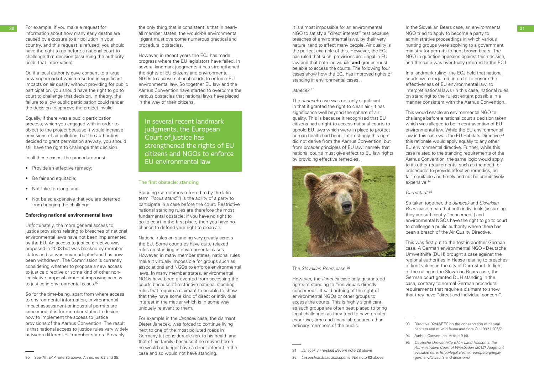information about how many early deaths are caused by exposure to air pollution in your country, and this request is refused, you should have the right to go before a national court to challenge that decision (assuming the authority holds that information).

Or, if a local authority gave consent to a large new supermarket which resulted in significant impacts on air quality without providing for public participation, you should have the right to go to court to challenge that decision. In theory, the failure to allow public participation could render the decision to approve the project invalid.

- Provide an effective remedy;
- Be fair and equitable;
- Not take too long; and
- Not be so expensive that you are deterred from bringing the challenge.

Unfortunately, the more general access to justice provisions relating to breaches of national environmental laws have not been implemented by the EU. An access to justice directive was proposed in 2003 but was blocked by member states and so was never adopted and has now been withdrawn. The Commission is currently considering whether to propose a new access to justice directive or some kind of other nonlegislative proposal aimed at improving access to justice in environmental cases.<sup>90</sup>

Equally, if there was a public participation process, which you engaged with in order to object to the project because it would increase emissions of air pollution, but the authorities decided to grant permission anyway, you should still have the right to challenge that decision.

In all these cases, the procedure must:

### **Enforcing national environmental laws**

So for the time-being, apart from where access to environmental information, environmental impact assessment or industrial permits are concerned, it is for member states to decide how to implement the access to justice provisions of the Aarhus Convention. The result is that national access to justice rules vary widely between different EU member states. Probably

However, in recent years the ECJ has made progress where the EU legislators have failed. In several landmark judgments it has strengthened the rights of EU citizens and environmental NGOs to access national courts to enforce EU environmental law. So together EU law and the Aarhus Convention have started to overcome the various obstacles that national laws have placed in the way of their citizens.

### The first obstacle: standing

Standing (sometimes referred to by the latin term *"locus standi"*) is the ability of a party to participate in a case before the court. Restrictive national standing rules are therefore the most fundamental obstacle: if you have no right to go to court in the first place, then you have no chance to defend your right to clean air.

This would enable an environmental NGO to challenge before a national court a decision taken which was alleged to be in contravention of EU environmental law. While the EU environmental law in this case was the EU Habitats Directive.<sup>93</sup> this rationale would apply equally to any other EU environmental directive. Further, while this case related to the standing requirements of the Aarhus Convention, the same logic would apply to its other requirements, such as the need for procedures to provide effective remedies, be fair, equitable and timely and not be prohibitively expensive.<sup>94</sup>

National rules on standing vary greatly across the EU. Some countries have quite relaxed rules on standing in environmental cases. However, in many member states, national rules make it virtually impossible for groups such as associations and NGOs to enforce environmental laws. In many member states, environmental NGOs have been prevented from accessing the courts because of restrictive national standing rules that require a claimant to be able to show that they have some kind of direct or individual interest in the matter which is in some way uniquely relevant to them.

For example in the *Janecek* case, the claimant, Dieter Janecek, was forced to continue living next to one of the most polluted roads in Germany (at considerable risk to his health and that of his family) because if he moved home he would no longer have a direct interest in the case and so would not have standing.

In several recent landmark judgments, the European Court of Justice has strengthened the rights of EU citizens and NGOs to enforce EU environmental law

It is almost impossible for an environmental NGO to satisfy a "direct interest" test because breaches of environmental laws, by their very nature, tend to affect many people. Air quality is the perfect example of this. However, the ECJ has ruled that such provisions are illegal in EU law and that both individuals **and** groups must be able to access the courts. The following four cases show how the ECJ has improved rights of standing in environmental cases.

### *Janecek 91*

The *Janecek* case was not only significant in that it granted the right to clean air - it has significance well beyond the sphere of air quality. This is because it recognised that EU citizens had a right to access national courts to uphold EU laws which were in place to protect human health had been. Interestingly this right did not derive from the Aarhus Convention, but from broader principles of EU law: namely that national courts must give effect to EU law rights by providing effective remedies.



The *Slovakian Bears* case *<sup>92</sup>*

However, the *Janecek* case only guaranteed rights of standing to "individuals directly concerned". It said nothing of the right of environmental NGOs or other groups to access the courts. This is highly significant, as such groups are often best placed to bring legal challenges as they tend to have greater expertise, time and financial resources than ordinary members of the public.

In the Slovakian Bears case, an environmental NGO tried to apply to become a party to administrative proceedings in which various hunting groups were applying to a government ministry for permits to hunt brown bears. The NGO in question appealed against this decision, and the case was eventually referred to the ECJ.

In a landmark ruling, the ECJ held that national courts were required, in order to ensure the effectiveness of EU environmental law, to interpret national laws (in this case, national rules on standing) to the fullest extent possible in a manner consistent with the Aarhus Convention.

### *Darmstadt 95*

So taken together, the *Janecek* and *Slovakian Bears* case mean that both individuals (assuming they are sufficiently "concerned") and environmental NGOs have the right to go to court to challenge a public authority where there has been a breach of the Air Quality Directive.

This was first put to the test in another German case. A German environmental NGO - Deutsche Umwelthilfe (DUH) brought a case against the regional authorities in Hesse relating to breaches of limit values in the city of Darmstadt. In light of the ruling in the Slovakian Bears case, the German court granted DUH standing in the case, contrary to normal German procedural requirements that require a claimant to show that they have "direct and individual concern".

<sup>30</sup> For example, if you make a request for the only thing that is consistent is that in nearly this almost impossible for an environmental the Slovakian Bears case, an environmental and 31 all member states, the would-be environmental litigant must overcome numerous practical and procedural obstacles.

<sup>90</sup> See 7th EAP note 85 above, Annex no. 62 and 65.

<sup>91</sup> *Janecek v Freistaat Bayern* note 28 above

<sup>92</sup> *Lesoochranárske zoskupenie VLK* note 63 above

<sup>93</sup> Directive 92/43/EEC on the conservation of natural habitats and of wild fauna and flora OJ 1992 L206/7.

<sup>94</sup> Aarhus Convention, Article 9 (4).

<sup>95</sup> *Deutsche Umwelthilfe e.V. v Land Hessen in the Administrative Court of Wiesbaden (2012) Judgment available here: http://legal.cleanair-europe.org/legal/ germany/lawsuits-and-decisions/*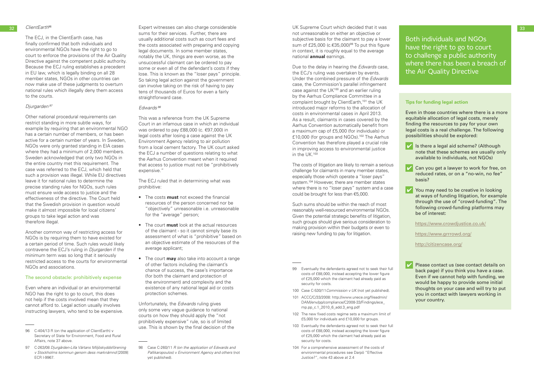The ECJ, in the ClientEarth case, has finally confirmed that both individuals and environmental NGOs have the right to go to court to enforce the provisions of the Air Quality Directive against the competent public authority. Because the ECJ ruling establishes a precedent in EU law, which is legally binding on all 28 member states, NGOs in other countries can now make use of these judgments to overturn national rules which illegally deny them access to the courts.

### *Djurgarden <sup>97</sup>*

Other national procedural requirements can restrict standing in more subtle ways, for example by requiring that an environmental NGO has a certain number of members, or has been active for a certain number of years. In Sweden, NGOs were only granted standing in EIA cases where they had a minimum of 2,000 members. Sweden acknowledged that only two NGOs in the entire country met this requirement. The case was referred to the ECJ, which held that such a provision was illegal. While EU directives leave it for national rules to determine the precise standing rules for NGOs, such rules must ensure wide access to justice and the effectiveness of the directive. The Court held that the Swedish provision in question would make it almost impossible for local citizens' groups to take legal action and was therefore illegal.

32 ClientEarth<sup>96</sup> and the Supert Witnesses can also charge considerable the UK Supreme Court which decided that it was the state of the state of the state of the state of the state of the state of the state of the state o sums for their services. Further, there are usually additional costs such as court fees and the costs associated with preparing and copying legal documents. In some member states, notably the UK, things are even worse, as the unsuccessful claimant can be ordered to pay some or even all of the defendant's costs if they lose. This is known as the "loser pays" principle. So taking legal action against the government can involve taking on the risk of having to pay tens of thousands of Euros for even a fairly straightforward case.

Another common way of restricting access for NGOs is by requiring them to have existed for a certain period of time. Such rules would likely contravene the ECJ's ruling in *Djurgarden* if the minimum term was so long that it seriously restricted access to the courts for environmental NGOs and associations.

### The second obstacle: prohibitively expense

Even where an individual or an environmental NGO has the right to go to court, this does not help if the costs involved mean that they cannot afford to. Legal action usually involves instructing lawyers, who tend to be expensive.

### *Edwards <sup>98</sup>*

This was a reference from the UK Supreme Court in an infamous case in which an individual was ordered to pay £88,000 (c. €97,000) in legal costs after losing a case against the UK Environment Agency relating to air pollution from a local cement factory. The UK court asked the ECJ a number of questions relating to what the Aarhus Convention meant when it required that access to justice must not be "prohibitively expensive."

The ECJ ruled that in determining what was prohibitive:

 $\triangleright$  Is there a legal aid scheme? (Although note that these schemes are usually only available to individuals, not NGOs)



 $\triangledown$  Can you get a lawyer to work for free, on reduced rates, or on a "no-win, no fee" basis?

- The costs **must** not exceed the financial resources of the person concerned nor be "objectively" unreasonable i.e. unreasonable for the "average" person;
- The court **must** look at the actual resources of the claimant - so it cannot simply base its assessment of what is "prohibitive" based on an objective estimate of the resources of the average applicant;
- The court **may** also take into account a range of other factors including the claimant's chance of success, the case's importance (for both the claimant and protection of the environment) and complexity and the existence of any national legal aid or costs protection schemes.

 $|\boldsymbol{\mathcal{U}}|$ You may need to be creative in looking at ways of funding litigation, for example through the use of "crowd-funding". The following crowd-funding platforms may be of interest:

Unfortunately, the *Edwards* ruling gives only some very vague guidance to national courts on how they should apply the "not prohibitively expensive" rule, so is of limited use. This is shown by the final decision of the UK Supreme Court which decided that it was not unreasonable on either an objective or subjective basis for the claimant to pay a lower sum of £25,000 ( $c.\epsilon$ 35,000)<sup>99</sup> To put this figure in context, it is roughly equal to the average national **annual** earnings.

Due to the delay in hearing the *Edwards* case, the ECJ's ruling was overtaken by events. Under the combined pressure of the *Edwards* case, the Commission's parallel infringement case against the UK<sup>100</sup> and an earlier ruling by the Aarhus Compliance Committee in a complaint brought by ClientEarth,<sup>101</sup> the UK introduced major reforms to the allocation of costs in environmental cases in April 2013. As a result, claimants in cases covered by the Aarhus Convention automatically benefit from a maximum cap of £5,000 (for individuals) or £10,000 (for groups and NGOs).102 The Aarhus Convention has therefore played a crucial role in improving access to environmental justice in the UK.103

The costs of litigation are likely to remain a serious challenge for claimants in many member states, especially those which operate a "loser pays" system.<sup>104</sup> However, there are member states where there is no "loser pays" system and a case could be brought for less than €5,000.

Such sums should be within the reach of most reasonably well-resourced environmental NGOs. Given the potential strategic benefits of litigation, such groups should give serious consideration to making provision within their budgets or even to raising new funding to pay for litigation.

- 101 ACCC/C/33/2008: http://www.unece.org/fileadmin/ DAM/env/pp/compliance/C2008-33/Findings/ece\_ mp.pp\_c.1\_2010\_6\_add.3\_eng.pdf
- 102 The new fixed costs regime sets a maximum limit of £5,000 for individuals and £10,000 for groups.
- 103 Eventually the defendants agreed not to seek their full costs of £88,000, instead accepting the lower figure of £25,000 which the claimant had already paid as security for costs.
- 104 For a comprehensive assessment of the costs of environmental procedures see Darpö "Effective Justice?", note 43 above at 2.4

### **Tips for funding legal action**

Even in those countries where there is a more equitable allocation of legal costs, merely finding the resources to pay for your own legal costs is a real challenge. The following possibilities should be explored:



https://www.crowdjustice.co.uk/

https://www.grrrowd.org/

http://citizencase.org/

Please contact us (see contact details on back page) if you think you have a case. Even if we cannot help with funding, we would be happy to provide some initial thoughts on your case and will try to put you in contact with lawyers working in your country.

Both individuals and NGOs have the right to go to court to challenge a public authority where there has been a breach of the Air Quality Directive

<sup>96</sup> C-404/13 R (on the application of ClientEarth) v Secretary of State for Environment, Food and Rural Affairs, note 37 above.

<sup>97</sup> C-263/08 *Djurgården-Lilla Värtans Miljöskyddsförening v Stockholms kommun genom dess marknämnd* [2009] ECR I-9967.

<sup>98</sup> Case C-260/11 *R (on the application of Edwards and Pallikaropoulos) v Environment Agency and others* (not yet published).

<sup>99</sup> Eventually the defendants agreed not to seek their full costs of £88,000, instead accepting the lower figure of £25,000 which the claimant had already paid as security for costs.

<sup>100</sup> Case C-530/11*Commission v UK* (not yet published).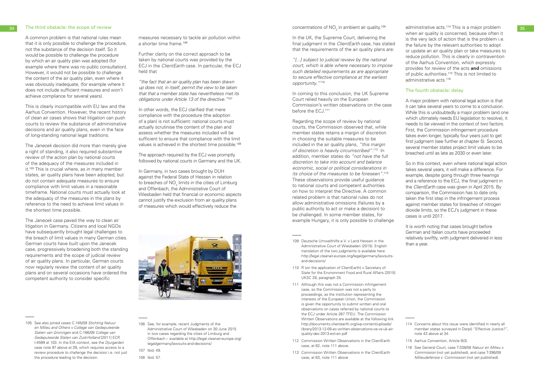A common problem is that national rules mean that it is only possible to challenge the procedure, not the substance of the decision itself. So it would be possible to challenge the procedure by which an air quality plan was adopted (for example where there was no public consultation). However, it would not be possible to challenge the content of the air quality plan, even where it was obviously inadequate, (for example where it does not include sufficient measures and won't achieve compliance for several years).

This is clearly incompatible with EU law and the Aarhus Convention. However, the recent history of clean air cases shows that litigation can push courts to review the substance of administrative decisions and air quality plans, even in the face of long-standing national legal traditions.

The *Janecek* decision did more than merely give a right of standing, it also required substantive review of the action plan by national courts of the adequacy of the measures included in it.<sup>105</sup> This is crucial where, as in many member states, air quality plans have been adopted, but do not contain adequate measures to ensure compliance with limit values in a reasonable timeframe. National courts must actually look at the adequacy of the measures in the plans by reference to the need to achieve limit values in the shortest time possible.

measures necessary to tackle air pollution within a shorter time frame.<sup>106</sup>

In other words, the ECJ clarified that mere compliance with the procedure (the adoption of a plan) is not sufficient: national courts must actually scrutinise the content of the plan and assess whether the measures included will be sufficient to ensure that compliance with the limit values is achieved in the shortest time possible.<sup>108</sup>

The *Janecek* case paved the way to clean air litigation in Germany. Citizens and local NGOs have subsequently brought legal challenges to the breach of limit values in many German cities. German courts have built upon the Janecek case, progressively broadening both the standing requirements and the scope of judicial review of air quality plans. In particular, German courts now regularly review the content of air quality plans and on several occasions have ordered the competent authority to consider specific

In coming to this conclusion, the UK Supreme Court relied heavily on the European Commission's written observations on the case before the ECJ.<sup>111</sup>

Further clarity on the correct approach to be taken by national courts was provided by the ECJ in the *ClientEarth* case. In particular, the ECJ held that

*"the fact that an air quality plan has been drawn up does not, in itself, permit the view to be taken that that a member state has nevertheless met its obligations under Article 13 of the directive."*<sup>107</sup>

- 109 Deutsche Umwelthilfe e.V. v. Land Hessen in the Administrative Court of Wiesbaden (2015). English translation of the two judgments is available here: http://legal.cleanair-europe.org/legal/germany/lawsuitsand-decisions/
- 110 R (on the application of ClientEarth) v Secretary of State for the Environment Food and Rural Affairs [2015] UKSC 28, paragraph 25.
- 111 Although this was not a Commission infringement case, so the Commission was not a party to proceedings, as the institution representing the interests of the European Union, the Commission is given the opportunity to submit written and oral observations on cases referred by national courts to the ECJ under Article 267 TFEU. The Commission Written Observations are available at the following link http://documents.clientearth.org/wp-content/uploads/ library/2013-12-05-ec-written-observations-ce-vs-uk-airquality-dec-2013-ext-en.pdf
- 112 Commission Written Observations in the ClientEarth case, at 62, note 111 above.
- 113 Commission Written Observations in the ClientEarth case, at 63, note 111 above

 $_{\rm 34}$  The third obstacle: the scope of review  $_{\rm 35}$  and  $_{\rm 35}$  and  $_{\rm 35}$  concentrations of NO<sub>2</sub> in ambient air quality.<sup>109</sup> administrative acts.<sup>114</sup> This is a major problem and  $_{\rm 35}$ when air quality is concerned, because often it is the very lack of action that is the problem i.e. the failure by the relevant authorities to adopt or update an air quality plan or take measures to reduce pollution. This is clearly in contravention of the Aarhus Convention, which expressly provides for review of the acts **and** omissions of public authorities.115 This is not limited to administrative acts.<sup>116</sup>

> The approach required by the ECJ was promptly followed by national courts in Germany and the UK.

> In Germany, in two cases brought by DUH against the Federal State of Hessen in relation to breaches of NO $_{\textrm{\tiny{2}}}$  limits in the cities of Limburg and Offenbach, the Administrative Court of Wiesbaden held that financial or economic aspects cannot justify the exclusion from air quality plans of measures which would effectively reduce the



106 See, for example, recent Judgments of the Administrative Court of Wiesbaden on 30 June 2015 in two cases regarding the cities of Limburg and Offenbach – available at http://legal.cleanair-europe.org/ legal/germany/lawsuits-and-decisions/

107 Ibid. 49.

108 Ibid. 57.

concentrations of  $\mathsf{NO}_2^{}$  in ambient air quality. $^{109}$ 

In the UK, the Supreme Court, delivering the final judgment in the *ClientEarth* case, has stated that the requirements of the air quality plans are:

> It is worth noting that cases brought before German and Italian courts have proceeded relatively swiftly, with judgment delivered in less than a year.

*"[...] subject to judicial review by the national court, which is able where necessary to impose such detailed requirements as are appropriate to secure effective compliance at the earliest opportunity."*<sup>110</sup>

Regarding the scope of review by national courts, the Commission observed that, while member states retains a margin of discretion in choosing the suitable measures to be included in the air quality plans, *"this margin of discretion is heavily circumscribed"*. 112 In addition, member states do *"not have the full discretion to take into account and balance economic, social or political considerations in its choice of the measures to be foreseen"*. 113 These observations provide useful guidance to national courts and competent authorities on how to interpret the Directive. A common related problem is that national rules do not allow administrative omissions (failures by a public authority to act or make a decision) to be challenged. In some member states, for example Hungary, it is only possible to challenge

### The fourth obstacle: delay

A major problem with national legal action is that it can take several years to come to a conclusion. While this is undoubtedly a major problem (and one which ultimately needs EU legislation to resolve), it needs to be viewed in the context of two factors. First, the Commission infringement procedure takes even longer, typically four years just to get first judgment (see further at chapter 5). Second, several member states project limit values to be breached until as late as 2030 or even later.

So in this context, even where national legal action takes several years, it will make a difference. For example, despite going through three hearings and a reference to the ECJ, the final judgment in the *ClientEarth* case was given in April 2015. By comparison, the Commission has to date only taken the first step in the infringement process against member states for breaches of nitrogen dioxide limits, so the ECJ's judgment in these cases is until 2017.

<sup>105</sup> See also joined cases C-165/09 *Stichting Natuur en Milieu and Others v College van Gedeputeerde Staten van Groningen* and C-166/09 *College van Gedeputeerde Staten van Zuid-Holland* [2011] ECR I-4599 at 103. In the EIA context, see the *Djurgarden*  case note 97 above at 39, which requires access to a review procedure to challenge the decision i.e. not just the procedure leading to the decision.

<sup>114</sup> Concerns about this issue were identified in nearly all member states surveyed in Darpö "Effective Justice?", note 43 above at 34.

<sup>115</sup> Aarhus Convention, Article 9(3).

<sup>116</sup> See General Court, case T-338/08 *Natuur en Milieu v. Commission* (not yet published), and case T-396/09 *Milieudefensie v. Commission* (not yet published).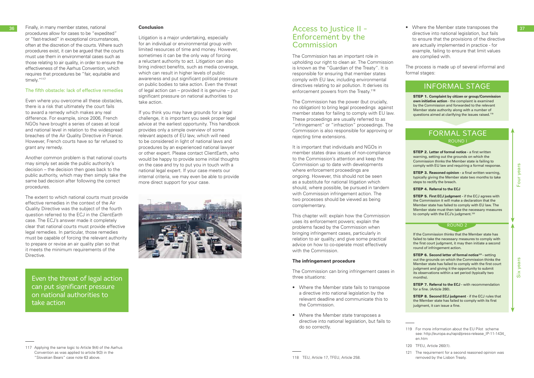procedures allow for cases to be "expedited" or "fast-tracked" in exceptional circumstances, often at the discretion of the courts. Where such procedures exist, it can be argued that the courts must use them in environmental cases such as those relating to air quality, in order to ensure the effectiveness of the Aarhus Convention, which requires that procedures be "fair, equitable and timely."<sup>117</sup>

### The fifth obstacle: lack of effective remedies

Even where you overcome all these obstacles, there is a risk that ultimately the court fails to award a remedy which makes any real difference. For example, since 2006, French NGOs have brought a series of cases at local and national level in relation to the widespread breaches of the Air Quality Directive in France. However, French courts have so far refused to grant any remedy.

Another common problem is that national courts may simply set aside the public authority's decision – the decision then goes back to the public authority, which may then simply take the same bad decision after following the correct procedures.

The extent to which national courts must provide effective remedies in the context of the Air Quality Directive was the subject of the fourth question referred to the ECJ in the *ClientEarth* case. The ECJ's answer made it completely clear that national courts must provide effective legal remedies. In particular, those remedies must be capable of forcing the relevant authority to prepare or revise an air quality plan so that it meets the minimum requirements of the Directive.

# Enforcement by the **Commission**

The Commission has an important role in upholding our right to clean air. The Commission is known as the "Guardian of the Treaty". It is responsible for ensuring that member states comply with EU law, including environmental directives relating to air pollution. It derives its enforcement powers from the Treaty.<sup>118</sup>

### **Conclusion**

Litigation is a major undertaking, especially for an individual or environmental group with limited resources of time and money. However, sometimes it can be the only way of forcing a reluctant authority to act. Litigation can also bring indirect benefits, such as media coverage, which can result in higher levels of public awareness and put significant political pressure on public bodies to take action. Even the threat of legal action can – provided it is genuine – put significant pressure on national authorities to take action.

So Finally, in many member states, national **Conclusion Conclusion Conclusion Conclusion Conclusion Conclusion Conclusion Conclusion Conclusion Conclusion Conclusion Conclusion Conclusion Conclusi** • Where the Member state transposes the directive into national legislation, but fails to ensure that the provisions of the directive are actually implemented in practice - for example, failing to ensure that limit values are complied with.

> If you think you may have grounds for a legal challenge, it is important you seek proper legal advice at the earliest opportunity. This handbook provides only a simple overview of some relevant aspects of EU law, which will need to be considered in light of national laws and procedures by an experienced national lawyer or other expert. Please contact ClientEarth, who would be happy to provide some initial thoughts on the case and try to put you in touch with a national legal expert. If your case meets our internal criteria, we may even be able to provide more direct support for your case.



**STEP 3. Reasoned opinion - a final written warning,** typically giving the Member state two months to take steps to rectify the breach.

STEP 5. **First ECJ judgment -** if the ECJ agrees with the Commission it will make a declaration that the Member state has failed to comply with EU law. The Member state must then take the necessary measures to comply with the ECJ's judgment.<sup>120</sup>

Even the threat of legal action can put significant pressure on national authorities to take action

Four years

Four years

Six years

**STEP 6. Second letter of formal notice<sup>121</sup> - setting** out the grounds on which the Commission thinks the Member state has failed to comply with the first court judgment and giving it the opportunity to submit its observations within a set period (typically two months).

**STEP 7. Referral to the ECJ - with recommendation** for a fine. (Article 260).

STEP 8. **Second ECJ judgment** - if the ECJ rules that the Member state has failed to comply with its first judgment, it can issue a fine.

The Commission has the power (but crucially, no obligation) to bring legal proceedings against member states for failing to comply with EU law. These proceedings are usually referred to as "infringement" or "infraction" proceedings. The Commission is also responsible for approving or rejecting time extensions.

It is important that individuals and NGOs in member states draw issues of non-compliance to the Commission's attention and keep the Commission up to date with developments where enforcement proceedings are ongoing. However, this should not be seen as a substitute for national litigation which should, where possible, be pursued in tandem with Commission infringement action. The two processes should be viewed as being complementary.

This chapter will: explain how the Commission uses its enforcement powers; explain the problems faced by the Commission when bringing infringement cases, particularly in relation to air quality; and give some practical advice on how to co-operate most effectively with the Commission.

### **The infringement procedure**

The Commission can bring infringement cases in three situations:

- Where the Member state fails to transpose a directive into national legislation by the relevant deadline and communicate this to the Commission.
- Where the Member state transposes a directive into national legislation, but fails to do so correctly.

The process is made up of several informal and formal stages:

### INFORMAL STAGE

STEP 1. **Complaint by citizen or group/Commission own initiative action** - the complaint is examined by the Commission and forwarded to the relevant Member state authority along with a number of questions aimed at clarifying the issues raised.119

### FORMAL STAGE ROUND I

STEP 2. **Letter of formal notice -** a first written warning, setting out the grounds on which the Commission thinks the Member state is failing to comply with EU law and requiring a formal response.

### STEP 4. **Referral to the ECJ**

### ROUND 2

If the Commission thinks that the Member state has failed to take the necessary measures to comply with the first court judgment, it may then initiate a second round of infringement action.

119 For more information about the EU Pilot scheme see: http://europa.eu/rapid/press-release\_IP-11-1434\_ en.htm

- 120 TFEU, Article 260(1).
- 121 The requirement for a second reasoned opinion was removed by the Lisbon Treaty.

<sup>117</sup> Applying the same logic to Article 9(4) of the Aarhus Convention as was applied to article 9(3) in the "Slovakian Bears" case note 63 above.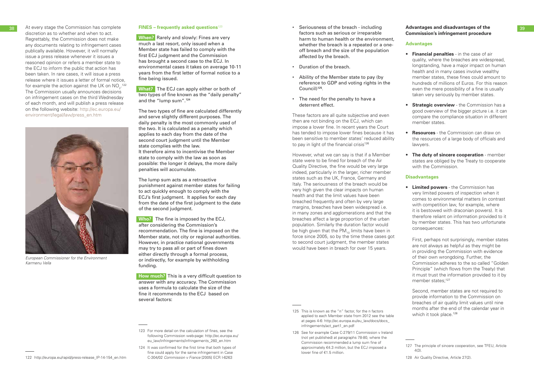38 At every stage the Commission has complete discretion as to whether and when to act. Regrettably, the Commission does not make any documents relating to infringement cases publically available. However, it will normally issue a press release whenever it issues a reasoned opinion or refers a member state to the ECJ to inform the public that action has been taken. In rare cases, it will issue a press release where it issues a letter of formal notice, for example the action against the UK on  $\mathsf{NO}_2^{\cdot, \mathsf{122}}$ The Commission usually announces decisions on infringement cases on the third Wednesday of each month, and will publish a press release on the following website: http://ec.europa.eu/ environment/legal/law/press\_en.htm

### **FINES – frequently asked questions**<sup>123</sup>

**When?** Rarely and slowly: Fines are very much a last resort, only issued when a Member state has failed to comply with the first ECJ judgment and the Commission has brought a second case to the ECJ. In environmental cases it takes on average 10-11 years from the first letter of formal notice to a fine being issued.

**What?** The ECJ can apply either or both of two types of fine known as the "daily penalty" and the "lump sum".124

The two types of fine are calculated differently and serve slightly different purposes. The daily penalty is the most commonly used of the two. It is calculated as a penalty which applies to each day from the date of the second court judgment until the Member state complies with the law. It therefore aims to incentivise the Member state to comply with the law as soon as possible: the longer it delays, the more daily penalties will accumulate.

These factors are all quite subjective and even then are not binding on the ECJ, which can impose a lower fine. In recent years the Court has tended to impose lower fines because it has been sensitive to member states' reduced ability to pay in light of the financial crisis<sup>126</sup>

The lump sum acts as a retroactive punishment against member states for failing to act quickly enough to comply with the ECJ's first judgment. It applies for each day from the date of the first judgment to the date of the second judgment.

**Who?** The fine is imposed by the ECJ, after considering the Commission's recommendation. The fine is imposed on the Member state, not city or regional authorities. However, in practice national governments may try to pass all or part of fines down either directly through a formal process, or indirectly, for example by withholding funding.

**How much?** This is a very difficult question to answer with any accuracy. The Commission uses a formula to calculate the size of the fine it recommends to the ECJ based on several factors:

- 123 For more detail on the calculation of fines, see the following Commission web-page: http://ec.europa.eu/ eu\_law/infringements/infringements\_260\_en.htm
- 124 It was confirmed for the first time that both types of fine could apply for the same infringement in Case C-304/02 *Commission v France* [2005] ECR I-6263

*European Commissioner for the Environment* 

*Karmenu Vella*

First, perhaps not surprisingly, member states are not always as helpful as they might be in providing the Commission with evidence of their own wrongdoing. Further, the Commission adheres to the so called "Golden Principle" (which flows from the Treaty) that it must trust the information provided to it by member states;<sup>127</sup>

- Seriousness of the breach including factors such as serious or irreparable harm to human health or the environment, whether the breach is a repeated or a oneoff breach and the size of the population affected by the breach.
- Duration of the breach.
- Ability of the Member state to pay (by reference to GDP and voting rights in the Council)<sup>125</sup>.
- The need for the penalty to have a deterrent effect.

 Second, member states are not required to provide information to the Commission on breaches of air quality limit values until nine months after the end of the calendar year in which it took place.<sup>128</sup>

However, what we can say is that if a Member state were to be fined for breach of the Air Quality Directive, the fine would be very large indeed, particularly in the larger, richer member states such as the UK, France, Germany and Italy. The seriousness of the breach would be very high given the clear impacts on human health and that the limit values have been breached frequently and often by very large margins, breaches have been widespread i.e. in many zones and agglomerations and that the breaches affect a large proportion of the urban population. Similarly the duration factor would be high given that the  $PM_{10}$  limits have been in force since 2005, so by the time these cases got to second court judgment, the member states would have been in breach for over 15 years.

- 125 This is known as the "n" factor, for the n factors applied to each Member state from 2012 see the table at pages 4-6: http://ec.europa.eu/eu\_law/docs/docs\_ infringements/act\_part1\_en.pdf
- 126 See for example Case C-279/11 Commission v Ireland (not yet published) at paragraphs 78-80, where the Commission recommended a lump sum fine of approximately €4.3 million, but the ECJ imposed a lower fine of €1.5 million.

### **Advantages and disadvantages of the Commission's infringement procedure**

### **Advantages**

- **Financial penalties** in the case of air quality, where the breaches are widespread, longstanding, have a major impact on human health and in many cases involve wealthy member states, these fines could amount to hundreds of millions of Euros. For this reason even the mere possibility of a fine is usually taken very seriously by member states.
- **Strategic overview**  the Commission has a good overview of the bigger picture i.e. it can compare the compliance situation in different member states.
- **Resources**  the Commission can draw on the resources of a large body of officials and lawyers.
- **The duty of sincere cooperation**  member states are obliged by the Treaty to cooperate with the Commission.

### **Disadvantages**

• **Limited powers** - the Commission has very limited powers of inspection when it comes to environmental matters (in contrast with competition law, for example, where it is bestowed with draconian powers). It is therefore reliant on information provided to it by member states. This has two unfortunate consequences:

<sup>127</sup> The principle of sincere cooperation, see TFEU, Article 4(3).

<sup>128</sup> Air Quality Directive, Article 27(2).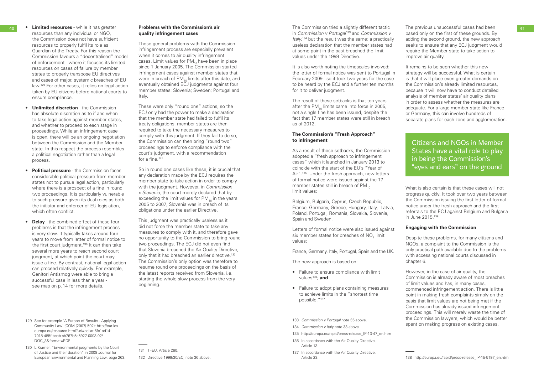- resources than any individual or NGO, the Commission does not have sufficient resources to properly fulfil its role as Guardian of the Treaty. For this reason the Commission favours a "decentralised" model of enforcement - where it focuses its limited resources on cases of failure by member states to properly transpose EU directives and cases of major, systemic breaches of EU law.129 For other cases, it relies on legal action taken by EU citizens before national courts to ensure compliance.
- **Unlimited discretion**  the Commission has absolute discretion as to if and when to take legal action against member states, and whether to proceed to each stage in proceedings. While an infringement case is open, there will be an ongoing negotiation between the Commission and the Member state. In this respect the process resembles a political negotiation rather than a legal process.
- **Political pressure**  the Commission faces considerable political pressure from member states not to pursue legal action, particularly where there is a prospect of a fine in round two proceedings. It is particularly vulnerable to such pressure given its dual roles as both the initiator and enforcer of EU legislation, which often conflict.
- **Delay** the combined effect of these four problems is that the infringement process is very slow. It typically takes around four years to move from letter of formal notice to the first court judgment.<sup>130</sup> It can then take several more years to reach second court judgment, at which point the court may issue a fine. By contrast, national legal action can proceed relatively quickly. For example, Genitori Antismog were able to bring a successful case in less than a year see map on p. 14 for more details.

These were only "round one" actions, so the ECJ only had the power to make a declaration that the member state had failed to fulfil its treaty obligations. member states are then required to take the necessary measures to comply with this judgment. If they fail to do so, the Commission can then bring "round two" proceedings to enforce compliance with the court's judgment, with a recommendation for a fine.<sup>131</sup>

130 L Kramer, "Environmental judgments by the Court of Justice and their duration" in 2008 Journal for European Environmental and Planning Law, page 263.

40 **• Limited resources** - while it has greater **Problems with the Commission's air And The Commission tried a slightly different tactic** The previous unsuccessful cases had been **41** in *Commission v Portugal*<sup>133</sup> and *Commission v Italy*, 134 but the result was the same: a practically useless declaration that the member states had at some point in the past breached the limit values under the 1999 Directive.

### **Problems with the Commission's air quality infringement cases**

It is also worth noting the timescales involved: the letter of formal notice was sent to Portugal in February 2009 - so it took two years for the case to be heard by the ECJ and a further ten months for it to deliver judgment.

These general problems with the Commission infringement process are especially prevalent when it comes to air quality infringement cases. Limit values for  $PM_{10}$  have been in place since 1 January 2005. The Commission started infringement cases against member states that were in breach of  $PM_{10}$  limits after this date, and eventually obtained ECJ judgments against four member states: Slovenia; Sweden; Portugal and Italy.

So in round one cases like these, it is crucial that any declaration made by the ECJ requires the member state to take action in order to comply with the judgment. However, in *Commission v Slovenia,* the court merely declared that by exceeding the limit values for  $PM_{10}$  in the years 2005 to 2007, Slovenia was in breach of its obligations under the earlier Directive.

This judgment was practically useless as it did not force the member state to take any measures to comply with it, and therefore gave no opportunity to the Commission to bring round two proceedings. The ECJ did not even find that Slovenia breached the Air Quality Directive, only that it had breached an earlier directive.<sup>132</sup> The Commission's only option was therefore to resume round one proceedings on the basis of the latest reports received from Slovenia, i.e. starting the whole slow process from the very beginning.

131 TFEU, Article 260.

132 Directive 1999/30/EC, note 36 above.

The result of these setbacks is that ten years after the PM<sub>10</sub> limits came into force in 2005, not a single fine has been issued, despite the fact that 17 member states were still in breach as of 2012.

### **The Commission's "Fresh Approach" to infringement**

As a result of these setbacks, the Commission adopted a "fresh approach to infringement cases" which it launched in January 2013 to coincide with the start of the EU's "Year of Air".<sup>135</sup> Under the fresh approach, new letters of formal notice were issued against the 17 member states still in breach of  $PM_{10}$ limit values:

Belgium, Bulgaria, Cyprus, Czech Republic, France, Germany, Greece, Hungary, Italy, Latvia, Poland, Portugal, Romania, Slovakia, Slovenia, Spain and Sweden.

Letters of formal notice were also issued against six member states for breaches of  $\mathsf{NO}_{_2}$  limit values:

France, Germany, Italy, Portugal, Spain and the UK.

The new approach is based on:

- Failure to ensure compliance with limit values<sup>136</sup>; and
- Failure to adopt plans containing measures to achieve limits in the "shortest time possible."137
- 133 *Commission v Portugal* note 35 above.
- 134 *Commission v Italy* note 33 above.
- 135 http://europa.eu/rapid/press-release\_IP-13-47\_en.htm
- 136 In accordance with the Air Quality Directive, Article 13.
- 137 In accordance with the Air Quality Directive, Article 23.

The previous unsuccessful cases had been based only on the first of these grounds. By adding the second ground, the new approach seeks to ensure that any ECJ judgment would require the Member state to take action to improve air quality.

It remains to be seen whether this new strategy will be successful. What is certain is that it will place even greater demands on the Commission's already limited resources, because it will now have to conduct detailed analysis of member states' air quality plans in order to assess whether the measures are adequate. For a large member state like France or Germany, this can involve hundreds of separate plans for each zone and agglomeration.

What is also certain is that these cases will not progress quickly. It took over two years between the Commission issuing the first letter of formal notice under the fresh approach and the first referrals to the ECJ against Belgium and Bulgaria in June 2015.138

### **Engaging with the Commission**

Despite these problems, for many citizens and NGOs, a complaint to the Commission is the only practical path available due to the problems with accessing national courts discussed in chapter 6.

However, in the case of air quality, the Commission is already aware of most breaches of limit values and has, in many cases, commenced infringement action. There is little point in making fresh complaints simply on the basis that limit values are not being met if the Commission has already issued infringement proceedings. This will merely waste the time of the Commission lawyers, which would be better spent on making progress on existing cases.

Citizens and NGOs in Member States have a vital role to play in being the Commission's "eyes and ears" on the ground

<sup>129</sup> See for example 'A Europe of Results - Applying Community Law' (COM (2007) 502): http://eur-lex. europa.eu/resource.html?uri=cellar:6fc1ad14- 7018-485f-bceb-ab767b5c5927.0003.02/ DOC\_3&format=PDF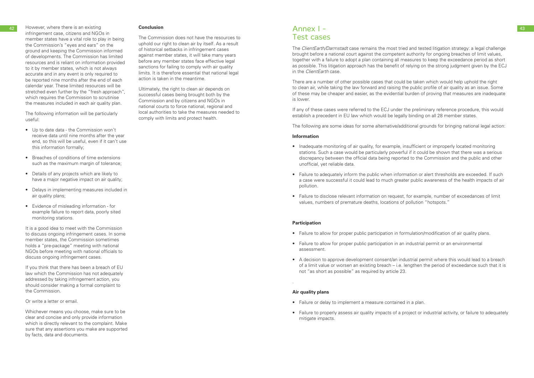42 However, where there is an existing **Conclusion Conclusion Conclusion Annex Annex 1** Annex 1 infringement case, citizens and NGOs in member states have a vital role to play in being the Commission's "eyes and ears" on the ground and keeping the Commission informed of developments. The Commission has limited resources and is reliant on information provided to it by member states, which is not always accurate and in any event is only required to be reported nine months after the end of each calendar year. These limited resources will be stretched even further by the "fresh approach", which requires the Commission to scrutinise the measures included in each air quality plan.

The following information will be particularly useful:

- Up to date data the Commission won't receive data until nine months after the year end, so this will be useful, even if it can't use this information formally;
- Breaches of conditions of time extensions such as the maximum margin of tolerance;
- Details of any projects which are likely to have a major negative impact on air quality;
- Delays in implementing measures included in air quality plans;
- Evidence of misleading information for example failure to report data, poorly sited monitoring stations.

It is a good idea to meet with the Commission to discuss ongoing infringement cases. In some member states, the Commission sometimes holds a "pre-package" meeting with national NGOs before meeting with national officials to discuss ongoing infringement cases.

If you think that there has been a breach of EU law which the Commission has not adequately addressed by taking infringement action, you should consider making a formal complaint to the Commission.

Or write a letter or email.

Whichever means you choose, make sure to be clear and concise and only provide information which is directly relevant to the complaint. Make sure that any assertions you make are supported by facts, data and documents.

### **Conclusion**

The Commission does not have the resources to uphold our right to clean air by itself. As a result of historical setbacks in infringement cases against member states, it will take many years before any member states face effective legal sanctions for failing to comply with air quality limits. It is therefore essential that national legal action is taken in the meantime.

- Inadequate monitoring of air quality, for example, insufficient or improperly located monitoring stations. Such a case would be particularly powerful if it could be shown that there was a serious discrepancy between the official data being reported to the Commission and the public and other unofficial, yet reliable data.
- Failure to adequately inform the public when information or alert thresholds are exceeded. If such a case were successful it could lead to much greater public awareness of the health impacts of air pollution.
- Failure to disclose relevant information on request, for example, number of exceedances of limit values, numbers of premature deaths, locations of pollution "hotspots."

Ultimately, the right to clean air depends on successful cases being brought both by the Commission and by citizens and NGOs in national courts to force national, regional and local authorities to take the measures needed to comply with limits and protect health.

### Annex I - Test cases

The *ClientEarth/Darmstadt* case remains the most tried and tested litigation strategy: a legal challenge brought before a national court against the competent authority for ongoing breaches of limit values, together with a failure to adopt a plan containing all measures to keep the exceedance period as short as possible. This litigation approach has the benefit of relying on the strong judgment given by the ECJ in the *ClientEarth* case.

There are a number of other possible cases that could be taken which would help uphold the right to clean air, while taking the law forward and raising the public profile of air quality as an issue. Some of these may be cheaper and easier, as the evidential burden of proving that measures are inadequate is lower.

If any of these cases were referred to the ECJ under the preliminary reference procedure, this would establish a precedent in EU law which would be legally binding on all 28 member states.

The following are some ideas for some alternative/additional grounds for bringing national legal action:

### **Information**

### **Participation**

- Failure to allow for proper public participation in formulation/modification of air quality plans.
- Failure to allow for proper public participation in an industrial permit or an environmental assessment.
- A decision to approve development consent/an industrial permit where this would lead to a breach of a limit value or worsen an existing breach – i.e. lengthen the period of exceedance such that it is not "as short as possible" as required by article 23.

.

### **Air quality plans**

- Failure or delay to implement a measure contained in a plan.
- Failure to properly assess air quality impacts of a project or industrial activity, or failure to adequately mitigate impacts.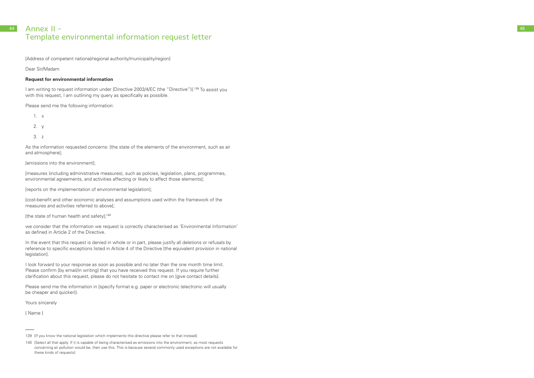### 44 **Annex II -** 45 Template environmental information request letter

[Address of competent national/regional authority/municipality/region]

### Dear Sir/Madam

### **Request for environmental information**

I am writing to request information under [Directive 2003/4/EC (the "Directive")].<sup>139</sup> To assist you with this request, I am outlining my query as specifically as possible.

Please send me the following information:

- 1. x
- 2. y
- 3. z

As the information requested concerns: [the state of the elements of the environment, such as air and atmosphere];

[emissions into the environment];

[measures (including administrative measures), such as policies, legislation, plans, programmes, environmental agreements, and activities affecting or likely to affect those elements];

In the event that this request is denied in whole or in part, please justify all deletions or refusals by reference to specific exceptions listed in Article 4 of the Directive [the equivalent provision in national legislation].

[reports on the implementation of environmental legislation];

[cost-benefit and other economic analyses and assumptions used within the framework of the measures and activities referred to above];

[the state of human health and safety];<sup>140</sup>

we consider that the information we request is correctly characterised as 'Environmental Information' as defined in Article 2 of the Directive.

I look forward to your response as soon as possible and no later than the one month time limit. Please confirm [by email/in writing] that you have received this request. If you require further clarification about this request, please do not hesitate to contact me on [give contact details].

Please send me the information in [specify format e.g. paper or electronic (electronic will usually be cheaper and quicker)].

Yours sincerely

[ Name ]

<sup>139 [</sup>If you know the national legislation which implements this directive please refer to that instead].

<sup>140 [</sup>Select all that apply. If it is capable of being characterised as emissions into the environment, as most requests concerning air pollution would be, then use this. This is because several commonly used exceptions are not available for these kinds of requests]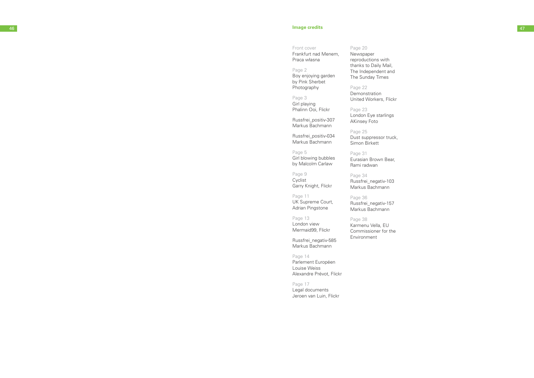### 46 **Image credits** 47

Front cover Frankfurt nad Menem, Praca własna

Page 2 Boy enjoying garden by Pink Sherbet Photography

Page 3 Girl playing Phalinn Ooi, Flickr

Russfrei\_positiv-307 Markus Bachmann

Russfrei\_positiv-034 Markus Bachmann

Page 5 Girl blowing bubbles by Malcolm Carlaw

Page 9 Cyclist Garry Knight, Flickr

Page 11 UK Supreme Court, Adrian Pingstone

Page 13 London view Mermaid99, Flickr

Russfrei\_negativ-585 Markus Bachmann

Page 14 Parlement Européen Louise Weiss Alexandre Prévot, Flickr

Page 17 Legal documents Jeroen van Luin, Flickr

### Page 20 Newspaper

reproductions with thanks to Daily Mail, The Independent and The Sunday Times

Page 22 Demonstration United Workers, Flickr

Page 23 London Eye starlings AKinsey Foto

Page 25 Dust suppressor truck, Simon Birkett

Page 31 Eurasian Brown Bear, Rami radwan

Page 34 Russfrei\_negativ-103 Markus Bachmann

Page 36 Russfrei\_negativ-157 Markus Bachmann

Page 38 Karmenu Vella, EU Commissioner for the

Environment